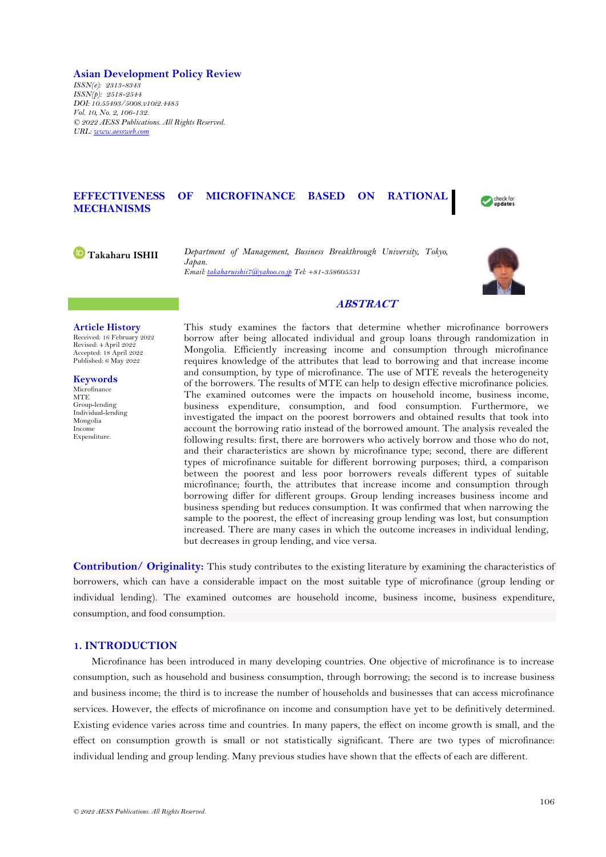**Asian Development Policy Review**

*ISSN(e): 2313-8343 ISSN(p): 2518-2544 DOI: 10.55493/5008.v10i2.4485 Vol. 10, No. 2, 106-132. © 2022 AESS Publications. All Rights Reserved. URL: [www.aessweb.com](http://www.aessweb.com/)*

# **EFFECTIVENESS OF MICROFINANCE BASED ON RATIONAL MECHANISMS**



**Takaharu ISHII** *Department of Management, Business Breakthrough University, Tokyo, Japan. Email[: takaharuishii7@yahoo.co.jp](mailto:takaharuishii7@yahoo.co.jp) Tel: +81-358605531*



# **ABSTRACT**

#### **Article History**

Received: 16 February 2022 Revised: 4 April 2022 Accepted: 18 April 2022 Published: 6 May 2022

**Keywords** Microfinance MTE<sup>1</sup> Group-lending Individual-lending Mongolia Income Expenditure.

This study examines the factors that determine whether microfinance borrowers borrow after being allocated individual and group loans through randomization in Mongolia. Efficiently increasing income and consumption through microfinance requires knowledge of the attributes that lead to borrowing and that increase income and consumption, by type of microfinance. The use of MTE reveals the heterogeneity of the borrowers. The results of MTE can help to design effective microfinance policies. The examined outcomes were the impacts on household income, business income, business expenditure, consumption, and food consumption. Furthermore, we investigated the impact on the poorest borrowers and obtained results that took into account the borrowing ratio instead of the borrowed amount. The analysis revealed the following results: first, there are borrowers who actively borrow and those who do not, and their characteristics are shown by microfinance type; second, there are different types of microfinance suitable for different borrowing purposes; third, a comparison between the poorest and less poor borrowers reveals different types of suitable microfinance; fourth, the attributes that increase income and consumption through borrowing differ for different groups. Group lending increases business income and business spending but reduces consumption. It was confirmed that when narrowing the sample to the poorest, the effect of increasing group lending was lost, but consumption increased. There are many cases in which the outcome increases in individual lending, but decreases in group lending, and vice versa.

**Contribution/ Originality:** This study contributes to the existing literature by examining the characteristics of borrowers, which can have a considerable impact on the most suitable type of microfinance (group lending or individual lending). The examined outcomes are household income, business income, business expenditure, consumption, and food consumption.

## **1. INTRODUCTION**

Microfinance has been introduced in many developing countries. One objective of microfinance is to increase consumption, such as household and business consumption, through borrowing; the second is to increase business and business income; the third is to increase the number of households and businesses that can access microfinance services. However, the effects of microfinance on income and consumption have yet to be definitively determined. Existing evidence varies across time and countries. In many papers, the effect on income growth is small, and the effect on consumption growth is small or not statistically significant. There are two types of microfinance: individual lending and group lending. Many previous studies have shown that the effects of each are different.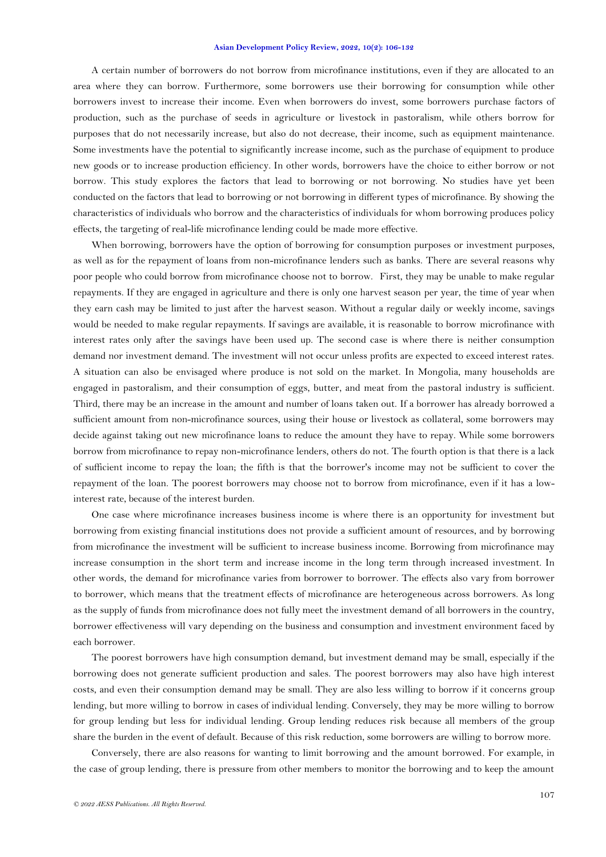A certain number of borrowers do not borrow from microfinance institutions, even if they are allocated to an area where they can borrow. Furthermore, some borrowers use their borrowing for consumption while other borrowers invest to increase their income. Even when borrowers do invest, some borrowers purchase factors of production, such as the purchase of seeds in agriculture or livestock in pastoralism, while others borrow for purposes that do not necessarily increase, but also do not decrease, their income, such as equipment maintenance. Some investments have the potential to significantly increase income, such as the purchase of equipment to produce new goods or to increase production efficiency. In other words, borrowers have the choice to either borrow or not borrow. This study explores the factors that lead to borrowing or not borrowing. No studies have yet been conducted on the factors that lead to borrowing or not borrowing in different types of microfinance. By showing the characteristics of individuals who borrow and the characteristics of individuals for whom borrowing produces policy effects, the targeting of real-life microfinance lending could be made more effective.

When borrowing, borrowers have the option of borrowing for consumption purposes or investment purposes, as well as for the repayment of loans from non-microfinance lenders such as banks. There are several reasons why poor people who could borrow from microfinance choose not to borrow. First, they may be unable to make regular repayments. If they are engaged in agriculture and there is only one harvest season per year, the time of year when they earn cash may be limited to just after the harvest season. Without a regular daily or weekly income, savings would be needed to make regular repayments. If savings are available, it is reasonable to borrow microfinance with interest rates only after the savings have been used up. The second case is where there is neither consumption demand nor investment demand. The investment will not occur unless profits are expected to exceed interest rates. A situation can also be envisaged where produce is not sold on the market. In Mongolia, many households are engaged in pastoralism, and their consumption of eggs, butter, and meat from the pastoral industry is sufficient. Third, there may be an increase in the amount and number of loans taken out. If a borrower has already borrowed a sufficient amount from non-microfinance sources, using their house or livestock as collateral, some borrowers may decide against taking out new microfinance loans to reduce the amount they have to repay. While some borrowers borrow from microfinance to repay non-microfinance lenders, others do not. The fourth option is that there is a lack of sufficient income to repay the loan; the fifth is that the borrower's income may not be sufficient to cover the repayment of the loan. The poorest borrowers may choose not to borrow from microfinance, even if it has a lowinterest rate, because of the interest burden.

One case where microfinance increases business income is where there is an opportunity for investment but borrowing from existing financial institutions does not provide a sufficient amount of resources, and by borrowing from microfinance the investment will be sufficient to increase business income. Borrowing from microfinance may increase consumption in the short term and increase income in the long term through increased investment. In other words, the demand for microfinance varies from borrower to borrower. The effects also vary from borrower to borrower, which means that the treatment effects of microfinance are heterogeneous across borrowers. As long as the supply of funds from microfinance does not fully meet the investment demand of all borrowers in the country, borrower effectiveness will vary depending on the business and consumption and investment environment faced by each borrower.

The poorest borrowers have high consumption demand, but investment demand may be small, especially if the borrowing does not generate sufficient production and sales. The poorest borrowers may also have high interest costs, and even their consumption demand may be small. They are also less willing to borrow if it concerns group lending, but more willing to borrow in cases of individual lending. Conversely, they may be more willing to borrow for group lending but less for individual lending. Group lending reduces risk because all members of the group share the burden in the event of default. Because of this risk reduction, some borrowers are willing to borrow more.

Conversely, there are also reasons for wanting to limit borrowing and the amount borrowed. For example, in the case of group lending, there is pressure from other members to monitor the borrowing and to keep the amount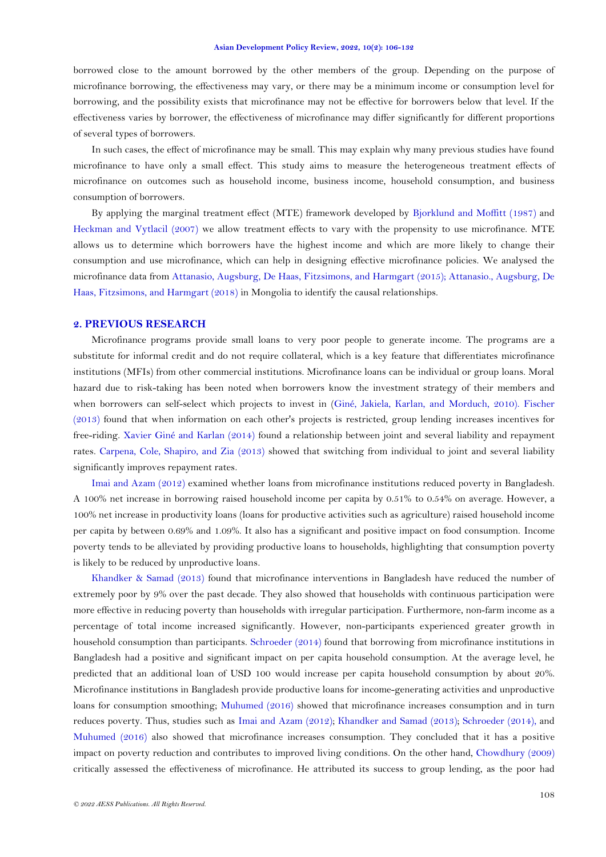borrowed close to the amount borrowed by the other members of the group. Depending on the purpose of microfinance borrowing, the effectiveness may vary, or there may be a minimum income or consumption level for borrowing, and the possibility exists that microfinance may not be effective for borrowers below that level. If the effectiveness varies by borrower, the effectiveness of microfinance may differ significantly for different proportions of several types of borrowers.

In such cases, the effect of microfinance may be small. This may explain why many previous studies have found microfinance to have only a small effect. This study aims to measure the heterogeneous treatment effects of microfinance on outcomes such as household income, business income, household consumption, and business consumption of borrowers.

By applying the marginal treatment effect (MTE) framework developed by Bjorklund [and Moffitt \(1987\)](#page-25-0) and [Heckman and Vytlacil \(2007\)](#page-25-1) we allow treatment effects to vary with the propensity to use microfinance. MTE allows us to determine which borrowers have the highest income and which are more likely to change their consumption and use microfinance, which can help in designing effective microfinance policies. We analysed the microfinance data from [Attanasio, Augsburg, De Haas, Fitzsimons, and Harmgart \(2015\)](#page-25-2); [Attanasio., Augsburg, De](#page-25-3)  [Haas, Fitzsimons, and Harmgart \(2018\)](#page-25-3) in Mongolia to identify the causal relationships.

### **2. PREVIOUS RESEARCH**

Microfinance programs provide small loans to very poor people to generate income. The programs are a substitute for informal credit and do not require collateral, which is a key feature that differentiates microfinance institutions (MFIs) from other commercial institutions. Microfinance loans can be individual or group loans. Moral hazard due to risk-taking has been noted when borrowers know the investment strategy of their members and when borrowers can self-select which projects to invest in [\(Giné, Jakiela, Karlan, and Morduch,](#page-25-4) 2010). [Fischer](#page-25-5)  [\(2013\)](#page-25-5) found that when information on each other's projects is restricted, group lending increases incentives for free-riding. [Xavier Giné and Karlan \(2014\)](#page-25-6) found a relationship between joint and several liability and repayment rates. [Carpena, Cole, Shapiro, and Zia \(2013\)](#page-25-7) showed that switching from individual to joint and several liability significantly improves repayment rates.

[Imai and Azam \(2012\)](#page-25-8) examined whether loans from microfinance institutions reduced poverty in Bangladesh. A 100% net increase in borrowing raised household income per capita by 0.51% to 0.54% on average. However, a 100% net increase in productivity loans (loans for productive activities such as agriculture) raised household income per capita by between 0.69% and 1.09%. It also has a significant and positive impact on food consumption. Income poverty tends to be alleviated by providing productive loans to households, highlighting that consumption poverty is likely to be reduced by unproductive loans.

[Khandker & Samad](#page-26-0) (2013) found that microfinance interventions in Bangladesh have reduced the number of extremely poor by 9% over the past decade. They also showed that households with continuous participation were more effective in reducing poverty than households with irregular participation. Furthermore, non-farm income as a percentage of total income increased significantly. However, non-participants experienced greater growth in household consumption than participants. [Schroeder \(2014\)](#page-26-1) found that borrowing from microfinance institutions in Bangladesh had a positive and significant impact on per capita household consumption. At the average level, he predicted that an additional loan of USD 100 would increase per capita household consumption by about 20%. Microfinance institutions in Bangladesh provide productive loans for income-generating activities and unproductive loans for consumption smoothing; [Muhumed \(2016\)](#page-26-2) showed that microfinance increases consumption and in turn reduces poverty. Thus, studies such as [Imai and Azam \(2012\)](#page-25-8); [Khandker and Samad \(2013\)](#page-26-0); [Schroeder \(2014\)](#page-26-1), and [Muhumed \(2016\)](#page-26-2) also showed that microfinance increases consumption. They concluded that it has a positive impact on poverty reduction and contributes to improved living conditions. On the other hand, [Chowdhury \(2009\)](#page-25-9) critically assessed the effectiveness of microfinance. He attributed its success to group lending, as the poor had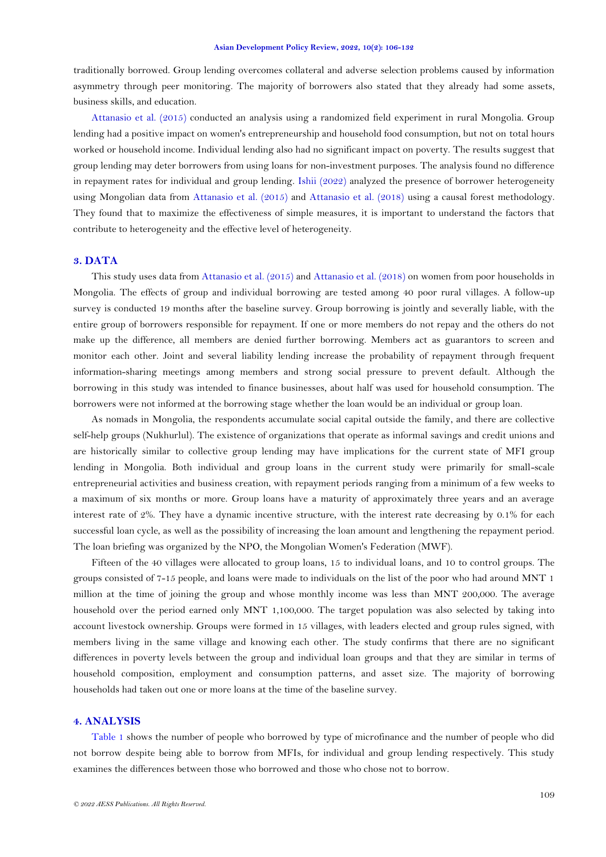traditionally borrowed. Group lending overcomes collateral and adverse selection problems caused by information asymmetry through peer monitoring. The majority of borrowers also stated that they already had some assets, business skills, and education.

[Attanasio et al. \(2015\)](#page-25-2) conducted an analysis using a randomized field experiment in rural Mongolia. Group lending had a positive impact on women's entrepreneurship and household food consumption, but not on total hours worked or household income. Individual lending also had no significant impact on poverty. The results suggest that group lending may deter borrowers from using loans for non-investment purposes. The analysis found no difference in repayment rates for individual and group lending. [Ishii \(2022\)](#page-26-3) analyzed the presence of borrower heterogeneity using Mongolian data from [Attanasio et](#page-25-2) al. (2015) and Attanasio [et al. \(2018\)](#page-25-3) using a causal forest methodology. They found that to maximize the effectiveness of simple measures, it is important to understand the factors that contribute to heterogeneity and the effective level of heterogeneity.

# **3. DATA**

This study uses data from [Attanasio et al. \(2015\)](#page-25-2) and Attanasio [et al. \(2018\)](#page-25-3) on women from poor households in Mongolia. The effects of group and individual borrowing are tested among 40 poor rural villages. A follow-up survey is conducted 19 months after the baseline survey. Group borrowing is jointly and severally liable, with the entire group of borrowers responsible for repayment. If one or more members do not repay and the others do not make up the difference, all members are denied further borrowing. Members act as guarantors to screen and monitor each other. Joint and several liability lending increase the probability of repayment through frequent information-sharing meetings among members and strong social pressure to prevent default. Although the borrowing in this study was intended to finance businesses, about half was used for household consumption. The borrowers were not informed at the borrowing stage whether the loan would be an individual or group loan.

As nomads in Mongolia, the respondents accumulate social capital outside the family, and there are collective self-help groups (Nukhurlul). The existence of organizations that operate as informal savings and credit unions and are historically similar to collective group lending may have implications for the current state of MFI group lending in Mongolia. Both individual and group loans in the current study were primarily for small-scale entrepreneurial activities and business creation, with repayment periods ranging from a minimum of a few weeks to a maximum of six months or more. Group loans have a maturity of approximately three years and an average interest rate of 2%. They have a dynamic incentive structure, with the interest rate decreasing by 0.1% for each successful loan cycle, as well as the possibility of increasing the loan amount and lengthening the repayment period. The loan briefing was organized by the NPO, the Mongolian Women's Federation (MWF).

Fifteen of the 40 villages were allocated to group loans, 15 to individual loans, and 10 to control groups. The groups consisted of 7-15 people, and loans were made to individuals on the list of the poor who had around MNT 1 million at the time of joining the group and whose monthly income was less than MNT 200,000. The average household over the period earned only MNT 1,100,000. The target population was also selected by taking into account livestock ownership. Groups were formed in 15 villages, with leaders elected and group rules signed, with members living in the same village and knowing each other. The study confirms that there are no significant differences in poverty levels between the group and individual loan groups and that they are similar in terms of household composition, employment and consumption patterns, and asset size. The majority of borrowing households had taken out one or more loans at the time of the baseline survey.

# **4. ANALYSIS**

[Table 1](#page-4-0) shows the number of people who borrowed by type of microfinance and the number of people who did not borrow despite being able to borrow from MFIs, for individual and group lending respectively. This study examines the differences between those who borrowed and those who chose not to borrow.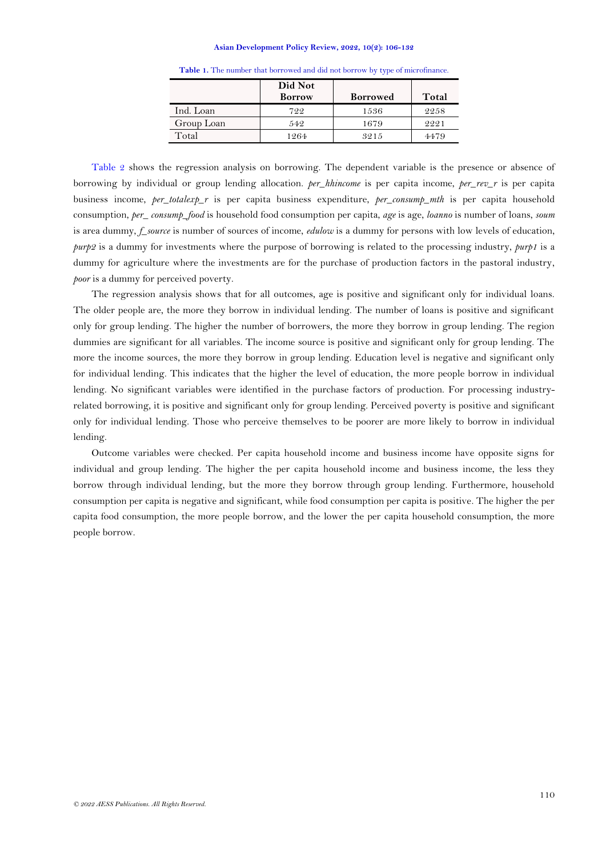|            | Did Not<br><b>Borrow</b> | <b>Borrowed</b> | Total |
|------------|--------------------------|-----------------|-------|
| Ind. Loan  | 722                      | 1536            | 2258  |
| Group Loan | 542                      | 1679            | 2221  |
| Total      | 1264                     | 3215            | 4479  |

**Table 1.** The number that borrowed and did not borrow by type of microfinance.

<span id="page-4-0"></span>[Table 2](#page-5-0) shows the regression analysis on borrowing. The dependent variable is the presence or absence of borrowing by individual or group lending allocation. *per\_hhincome* is per capita income, *per\_rev\_r* is per capita business income, *per\_totalexp\_r* is per capita business expenditure, *per\_consump\_mth* is per capita household consumption, *per\_ consump\_food* is household food consumption per capita, *age* is age, *loanno* is number of loans, *soum* is area dummy, *f\_source* is number of sources of income, *edulow* is a dummy for persons with low levels of education, *purp2* is a dummy for investments where the purpose of borrowing is related to the processing industry, *purp1* is a dummy for agriculture where the investments are for the purchase of production factors in the pastoral industry, *poor* is a dummy for perceived poverty.

The regression analysis shows that for all outcomes, age is positive and significant only for individual loans. The older people are, the more they borrow in individual lending. The number of loans is positive and significant only for group lending. The higher the number of borrowers, the more they borrow in group lending. The region dummies are significant for all variables. The income source is positive and significant only for group lending. The more the income sources, the more they borrow in group lending. Education level is negative and significant only for individual lending. This indicates that the higher the level of education, the more people borrow in individual lending. No significant variables were identified in the purchase factors of production. For processing industryrelated borrowing, it is positive and significant only for group lending. Perceived poverty is positive and significant only for individual lending. Those who perceive themselves to be poorer are more likely to borrow in individual lending.

Outcome variables were checked. Per capita household income and business income have opposite signs for individual and group lending. The higher the per capita household income and business income, the less they borrow through individual lending, but the more they borrow through group lending. Furthermore, household consumption per capita is negative and significant, while food consumption per capita is positive. The higher the per capita food consumption, the more people borrow, and the lower the per capita household consumption, the more people borrow.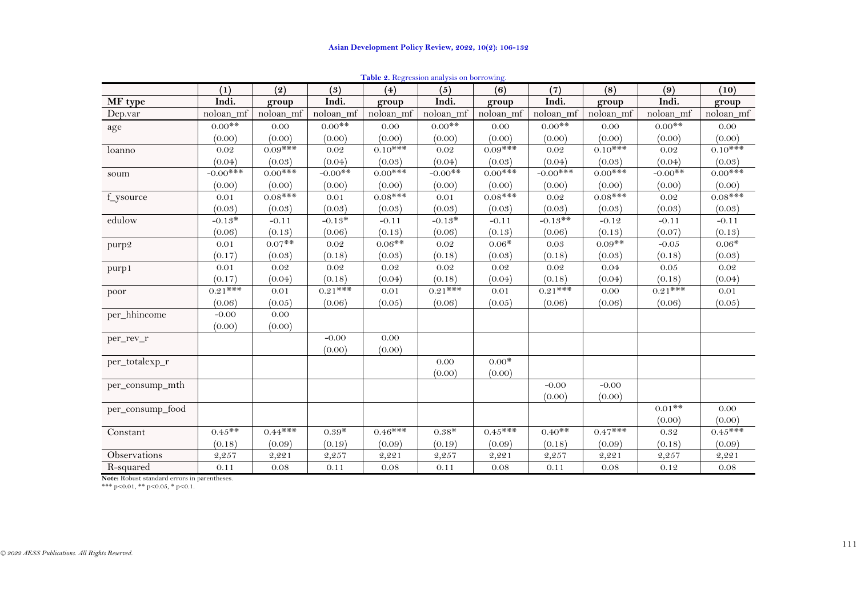|                  | (1)         | (2)        | (3)        | (4)          | (5)        | (6)        | (7)         | (8)        | (9)        | (10)         |
|------------------|-------------|------------|------------|--------------|------------|------------|-------------|------------|------------|--------------|
| MF type          | Indi.       | group      | Indi.      | group        | Indi.      | group      | Indi.       | group      | Indi.      | group        |
| Dep.var          | noloan mf   | noloan_mf  | noloan_mf  | noloan_mf    | noloan_mf  | noloan mf  | noloan mf   | noloan_mf  | noloan_mf  | noloan_mf    |
| age              | $0.00$ **   | 0.00       | $0.00$ **  | 0.00         | $0.00$ **  | 0.00       | $0.00$ **   | 0.00       | $0.00$ **  | $0.00\,$     |
|                  | (0.00)      | (0.00)     | (0.00)     | (0.00)       | (0.00)     | (0.00)     | (0.00)      | (0.00)     | (0.00)     | (0.00)       |
| loanno           | 0.02        | $0.09***$  | 0.02       | $0.10***$    | $0.02\,$   | $0.09$ *** | 0.02        | $0.10***$  | 0.02       | $0.10^{***}$ |
|                  | (0.04)      | (0.03)     | (0.04)     | (0.03)       | (0.04)     | (0.03)     | (0.04)      | (0.03)     | (0.04)     | (0.03)       |
| soum             | $-0.00$ *** | $0.00$ *** | $-0.00$ ** | $0.00^{***}$ | $-0.00$ ** | $0.00$ *** | $-0.00$ *** | $0.00$ *** | $-0.00$ ** | $0.00$ ***   |
|                  | (0.00)      | (0.00)     | (0.00)     | (0.00)       | (0.00)     | (0.00)     | (0.00)      | (0.00)     | (0.00)     | (0.00)       |
| f_ysource        | 0.01        | $0.08$ *** | 0.01       | $0.08***$    | $0.01\,$   | $0.08***$  | $0.02\,$    | $0.08$ *** | 0.02       | $0.08***$    |
|                  | (0.03)      | (0.03)     | (0.03)     | (0.03)       | (0.03)     | (0.03)     | (0.03)      | (0.03)     | (0.03)     | (0.03)       |
| edulow           | $-0.13*$    | $-0.11$    | $-0.13*$   | $-0.11$      | $-0.13*$   | $-0.11$    | $-0.13**$   | $-0.12$    | $-0.11$    | $-0.11$      |
|                  | (0.06)      | (0.13)     | (0.06)     | (0.13)       | (0.06)     | (0.13)     | (0.06)      | (0.13)     | (0.07)     | (0.13)       |
| purp2            | 0.01        | $0.07**$   | 0.02       | $0.06**$     | $0.02\,$   | $0.06*$    | 0.03        | $0.09**$   | $-0.05$    | $0.06*$      |
|                  | (0.17)      | (0.03)     | (0.18)     | (0.03)       | (0.18)     | (0.03)     | (0.18)      | (0.03)     | (0.18)     | (0.03)       |
| purp1            | $0.01\,$    | 0.02       | 0.02       | 0.02         | 0.02       | $0.02\,$   | 0.02        | 0.04       | 0.05       | $0.02\,$     |
|                  | (0.17)      | (0.04)     | (0.18)     | (0.04)       | (0.18)     | (0.04)     | (0.18)      | (0.04)     | (0.18)     | (0.04)       |
| poor             | $0.21***$   | 0.01       | $0.21$ *** | 0.01         | $0.21***$  | $0.01\,$   | $0.21***$   | 0.00       | $0.21$ *** | $0.01\,$     |
|                  | (0.06)      | (0.05)     | (0.06)     | (0.05)       | (0.06)     | (0.05)     | (0.06)      | (0.06)     | (0.06)     | (0.05)       |
| per_hhincome     | $-0.00$     | 0.00       |            |              |            |            |             |            |            |              |
|                  | (0.00)      | (0.00)     |            |              |            |            |             |            |            |              |
| per_rev_r        |             |            | $-0.00$    | $0.00\,$     |            |            |             |            |            |              |
|                  |             |            | (0.00)     | (0.00)       |            |            |             |            |            |              |
| per_totalexp_r   |             |            |            |              | 0.00       | $0.00*$    |             |            |            |              |
|                  |             |            |            |              | (0.00)     | (0.00)     |             |            |            |              |
| per_consump_mth  |             |            |            |              |            |            | $-0.00$     | $-0.00$    |            |              |
|                  |             |            |            |              |            |            | (0.00)      | (0.00)     |            |              |
| per_consump_food |             |            |            |              |            |            |             |            | $0.01**$   | 0.00         |
|                  |             |            |            |              |            |            |             |            | (0.00)     | (0.00)       |
| Constant         | $0.45**$    | $0.44***$  | $0.39*$    | $0.46***$    | $0.38*$    | $0.45***$  | $0.40**$    | $0.47***$  | 0.32       | $0.45***$    |
|                  | (0.18)      | (0.09)     | (0.19)     | (0.09)       | (0.19)     | (0.09)     | (0.18)      | (0.09)     | (0.18)     | (0.09)       |
| Observations     | 2,257       | 2,221      | 2,257      | 2,221        | 2,257      | 2,221      | 2,257       | 2,221      | 2,257      | 2,221        |
| R-squared        | 0.11        | 0.08       | 0.11       | 0.08         | 0.11       | 0.08       | 0.11        | 0.08       | 0.12       | 0.08         |

<span id="page-5-0"></span>**Table 2.** Regression analysis on borrowing.

Note: Robust standard errors in parentheses.<br>\*\*\* p<0.01, \*\* p<0.05, \* p<0.1.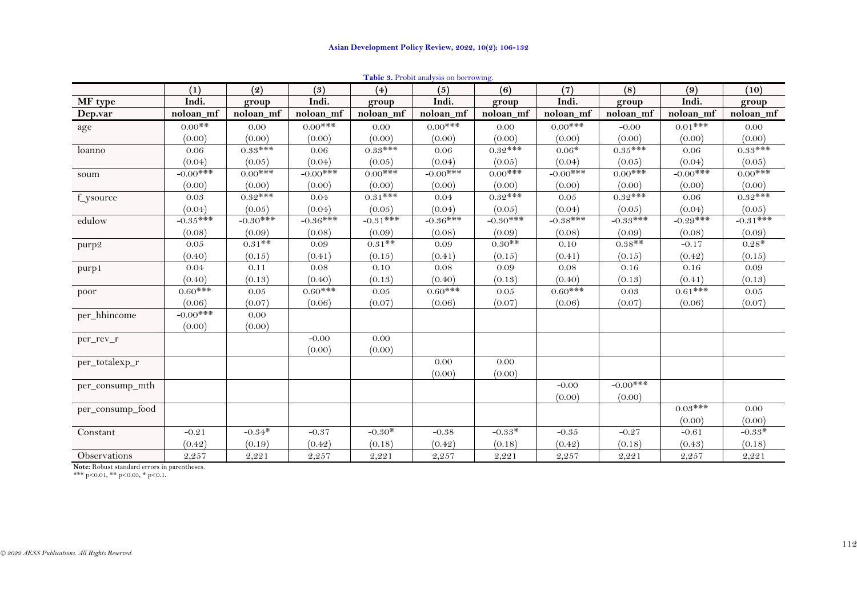|                   | (1)         | (2)        | (3)         | (4)        | (5)         | (6)        | (7)         | (8)         | (9)         | (10)       |
|-------------------|-------------|------------|-------------|------------|-------------|------------|-------------|-------------|-------------|------------|
| MF type           | Indi.       | group      | Indi.       | group      | Indi.       | group      | Indi.       | group       | Indi.       | group      |
| Dep.var           | noloan_mf   | noloan mf  | noloan_mf   | noloan_mf  | noloan_mf   | noloan_mf  | noloan mf   | noloan mf   | noloan_mf   | noloan_mf  |
| age               | $0.00$ **   | 0.00       | $0.00$ ***  | 0.00       | $0.00$ ***  | 0.00       | $0.00$ ***  | $-0.00$     | $0.01$ ***  | 0.00       |
|                   | (0.00)      | (0.00)     | (0.00)      | (0.00)     | (0.00)      | (0.00)     | (0.00)      | (0.00)      | (0.00)      | (0.00)     |
| loanno            | 0.06        | $0.33***$  | 0.06        | $0.33***$  | 0.06        | $0.32$ *** | $0.06*$     | $0.35***$   | 0.06        | $0.33***$  |
|                   | (0.04)      | (0.05)     | (0.04)      | (0.05)     | (0.04)      | (0.05)     | (0.04)      | (0.05)      | (0.04)      | (0.05)     |
| soum              | $-0.00$ *** | $0.00$ *** | $-0.00$ *** | $0.00$ *** | $-0.00$ *** | $0.00$ *** | $-0.00$ *** | $0.00****$  | $-0.00$ *** | $0.00$ *** |
|                   | (0.00)      | (0.00)     | (0.00)      | (0.00)     | (0.00)      | (0.00)     | (0.00)      | (0.00)      | (0.00)      | (0.00)     |
| f_ysource         | $0.03\,$    | $0.32***$  | 0.04        | $0.31$ *** | 0.04        | $0.32$ *** | 0.05        | $0.32***$   | 0.06        | $0.32***$  |
|                   | (0.04)      | (0.05)     | (0.04)      | (0.05)     | (0.04)      | (0.05)     | (0.04)      | (0.05)      | (0.04)      | (0.05)     |
| edulow            | $-0.35***$  | $-0.30***$ | $-0.36***$  | $-0.31***$ | $-0.36***$  | $-0.30***$ | $-0.38***$  | $-0.33***$  | $-0.29***$  | $-0.31***$ |
|                   | (0.08)      | (0.09)     | (0.08)      | (0.09)     | (0.08)      | (0.09)     | (0.08)      | (0.09)      | (0.08)      | (0.09)     |
| purp <sub>2</sub> | 0.05        | $0.31**$   | 0.09        | $0.31**$   | $0.09\,$    | $0.30**$   | 0.10        | $0.38**$    | $-0.17$     | $0.28*$    |
|                   | (0.40)      | (0.15)     | (0.41)      | (0.15)     | (0.41)      | (0.15)     | (0.41)      | (0.15)      | (0.42)      | (0.15)     |
| purp1             | 0.04        | 0.11       | 0.08        | 0.10       | 0.08        | 0.09       | 0.08        | 0.16        | 0.16        | 0.09       |
|                   | (0.40)      | (0.13)     | (0.40)      | (0.13)     | (0.40)      | (0.13)     | (0.40)      | (0.13)      | (0.41)      | (0.13)     |
| poor              | $0.60***$   | 0.05       | $0.60$ ***  | 0.05       | $0.60***$   | 0.05       | $0.60$ ***  | 0.03        | $0.61$ ***  | 0.05       |
|                   | (0.06)      | (0.07)     | (0.06)      | (0.07)     | (0.06)      | (0.07)     | (0.06)      | (0.07)      | (0.06)      | (0.07)     |
| per_hhincome      | $-0.00$ *** | 0.00       |             |            |             |            |             |             |             |            |
|                   | (0.00)      | (0.00)     |             |            |             |            |             |             |             |            |
| per_rev_r         |             |            | $-0.00$     | 0.00       |             |            |             |             |             |            |
|                   |             |            | (0.00)      | (0.00)     |             |            |             |             |             |            |
| per_totalexp_r    |             |            |             |            | 0.00        | 0.00       |             |             |             |            |
|                   |             |            |             |            | (0.00)      | (0.00)     |             |             |             |            |
| per_consump_mth   |             |            |             |            |             |            | $-0.00$     | $-0.00$ *** |             |            |
|                   |             |            |             |            |             |            | (0.00)      | (0.00)      |             |            |
| per_consump_food  |             |            |             |            |             |            |             |             | $0.03$ ***  | 0.00       |
|                   |             |            |             |            |             |            |             |             | (0.00)      | (0.00)     |
| Constant          | $-0.21$     | $-0.34*$   | $-0.37$     | $-0.30*$   | $-0.38$     | $-0.33*$   | $-0.35$     | $-0.27$     | $-0.61$     | $-0.33*$   |
|                   | (0.42)      | (0.19)     | (0.42)      | (0.18)     | (0.42)      | (0.18)     | (0.42)      | (0.18)      | (0.43)      | (0.18)     |
| Observations      | 2,257       | 2,221      | 2,257       | 2,221      | 2,257       | 2,221      | 2,257       | 2,221       | 2,257       | 2,221      |

**Table 3.** Probit analysis on borrowing.

<span id="page-6-0"></span>**Note:** Robust standard errors in parentheses.<br>\*\*\* p<0.01, \*\* p<0.05, \* p<0.1.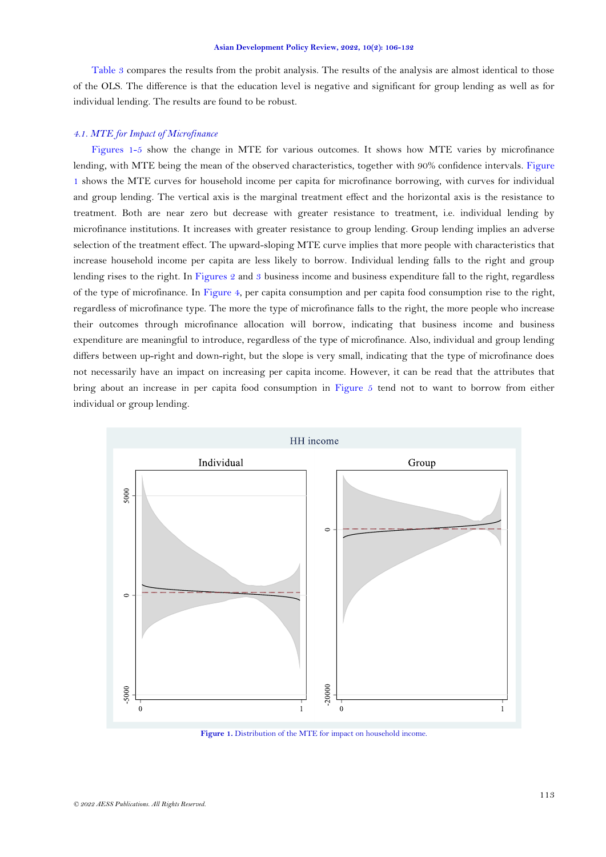[Table 3](#page-6-0) compares the results from the probit analysis. The results of the analysis are almost identical to those of the OLS. The difference is that the education level is negative and significant for group lending as well as for individual lending. The results are found to be robust.

### *4.1. MTE for Impact of Microfinance*

[Figures](#page-7-0) 1[-5](#page-9-0) show the change in MTE for various outcomes. It shows how MTE varies by microfinance lending, with MTE being the mean of the observed characteristics, together with 90% confidence intervals. Figure [1](#page-7-0) shows the MTE curves for household income per capita for microfinance borrowing, with curves for individual and group lending. The vertical axis is the marginal treatment effect and the horizontal axis is the resistance to treatment. Both are near zero but decrease with greater resistance to treatment, i.e. individual lending by microfinance institutions. It increases with greater resistance to group lending. Group lending implies an adverse selection of the treatment effect. The upward-sloping MTE curve implies that more people with characteristics that increase household income per capita are less likely to borrow. Individual lending falls to the right and group lending rises to the right. In [Figures](#page-8-0) 2 and [3](#page-8-1) business income and business expenditure fall to the right, regardless of the type of microfinance. In [Figure 4,](#page-9-1) per capita consumption and per capita food consumption rise to the right, regardless of microfinance type. The more the type of microfinance falls to the right, the more people who increase their outcomes through microfinance allocation will borrow, indicating that business income and business expenditure are meaningful to introduce, regardless of the type of microfinance. Also, individual and group lending differs between up-right and down-right, but the slope is very small, indicating that the type of microfinance does not necessarily have an impact on increasing per capita income. However, it can be read that the attributes that bring about an increase in per capita food consumption in [Figure 5](#page-9-0) tend not to want to borrow from either individual or group lending.



<span id="page-7-0"></span>**Figure 1.** Distribution of the MTE for impact on household income.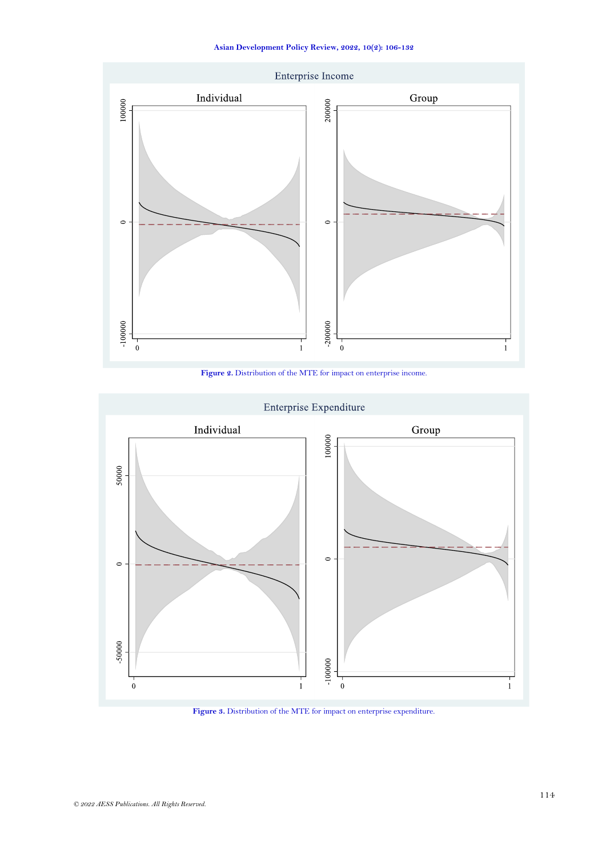

**Figure 2.** Distribution of the MTE for impact on enterprise income.

<span id="page-8-0"></span>

Enterprise Expenditure

<span id="page-8-1"></span>**Figure 3.** Distribution of the MTE for impact on enterprise expenditure.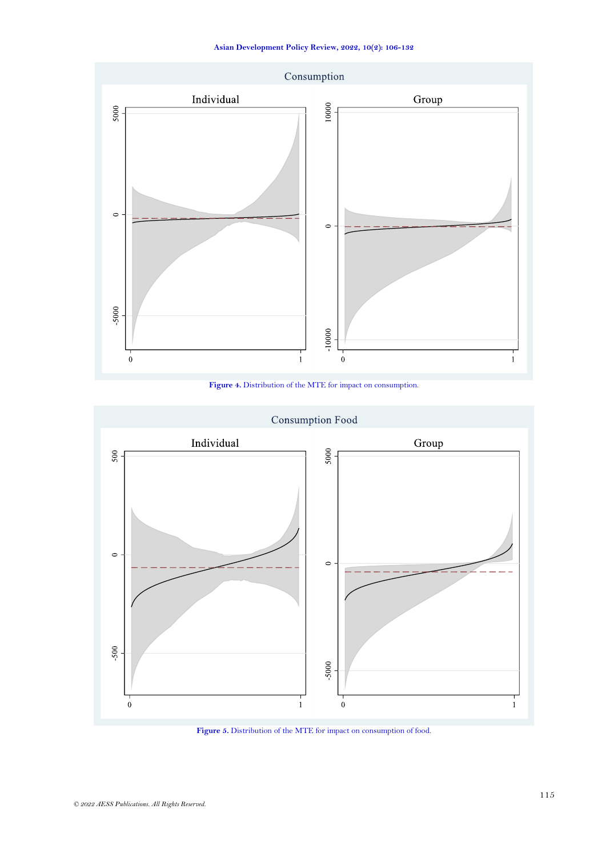

**Figure 4.** Distribution of the MTE for impact on consumption.

<span id="page-9-1"></span>

<span id="page-9-0"></span>**Figure 5.** Distribution of the MTE for impact on consumption of food.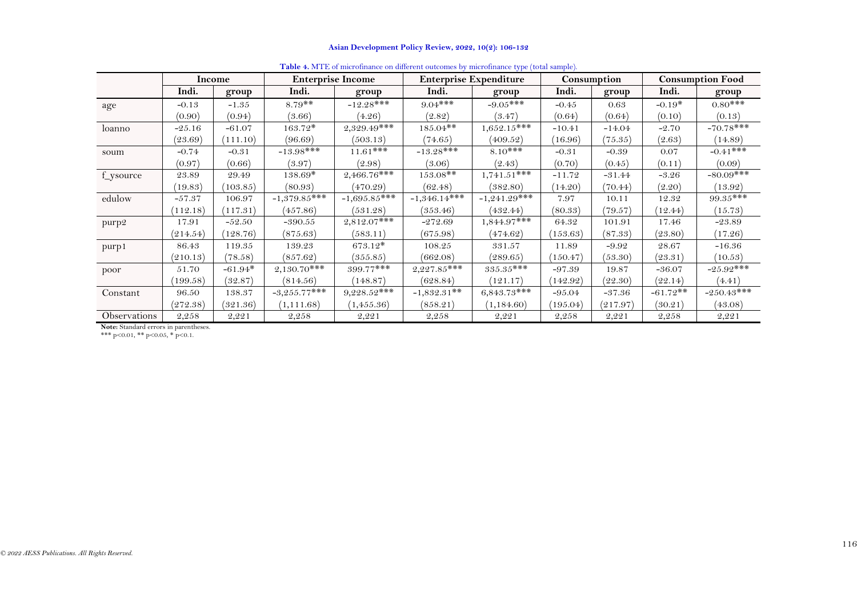|                   |          | Income    | <b>Enterprise Income</b> |                |                | <b>Enterprise Expenditure</b> |          | Consumption |            | <b>Consumption Food</b> |
|-------------------|----------|-----------|--------------------------|----------------|----------------|-------------------------------|----------|-------------|------------|-------------------------|
|                   | Indi.    | group     | Indi.                    | group          | Indi.          | group                         | Indi.    | group       | Indi.      | group                   |
| age               | $-0.13$  | $-1.35$   | $8.79**$                 | $-12.28***$    | $9.04***$      | $-9.05***$                    | $-0.45$  | 0.63        | $-0.19*$   | $0.80***$               |
|                   | (0.90)   | (0.94)    | (3.66)                   | (4.26)         | (2.82)         | (3.47)                        | (0.64)   | (0.64)      | (0.10)     | (0.13)                  |
| loanno            | $-25.16$ | $-61.07$  | 163.72*                  | $2,329.49***$  | $185.04**$     | $1,652.15***$                 | $-10.41$ | $-14.04$    | $-2.70$    | $-70.78***$             |
|                   | (23.69)  | 111.10)   | (96.69)                  | (503.13)       | (74.65)        | (409.52)                      | (16.96)  | (75.35)     | (2.63)     | (14.89)                 |
| soum              | $-0.74$  | $-0.31$   | $-13.98***$              | $11.61***$     | $-13.28***$    | $8.10***$                     | $-0.31$  | $-0.39$     | 0.07       | $-0.41$ ***             |
|                   | (0.97)   | (0.66)    | (3.97)                   | (2.98)         | (3.06)         | (2.43)                        | (0.70)   | (0.45)      | (0.11)     | (0.09)                  |
| f_ysource         | 23.89    | 29.49     | $138.69*$                | $2,466.76***$  | $153.08**$     | $1,741.51***$                 | $-11.72$ | $-31.44$    | $-3.26$    | $-80.09***$             |
|                   | 19.83)   | 103.85)   | (80.93)                  | (470.29)       | (62.48)        | (382.80)                      | (14.20)  | (70.44)     | (2.20)     | (13.92)                 |
| edulow            | $-57.37$ | 106.97    | $-1,379.85***$           | $-1,695.85***$ | $-1,346.14***$ | $-1,241.29***$                | 7.97     | 10.11       | 12.32      | $99.35***$              |
|                   | (112.18) | 117.31)   | (457.86)                 | (531.28)       | (353.46)       | (432.44)                      | (80.33)  | (79.57)     | (12.44)    | (15.73)                 |
| purp <sub>2</sub> | 17.91    | $-52.50$  | $-390.55$                | $2,812.07***$  | $-272.69$      | $1,844.97***$                 | 64.32    | 101.91      | 17.46      | $-23.89$                |
|                   | (214.54) | 128.76)   | (875.63)                 | (583.11)       | (675.98)       | (474.62)                      | (153.63) | (87.33)     | (23.80)    | (17.26)                 |
| purp1             | 86.43    | 119.35    | 139.23                   | 673.12*        | 108.25         | 331.57                        | 11.89    | $-9.92$     | 28.67      | $-16.36$                |
|                   | (210.13) | (78.58)   | (857.62)                 | (355.85)       | (662.08)       | (289.65)                      | (150.47) | (53.30)     | (23.31)    | (10.53)                 |
| poor              | 51.70    | $-61.94*$ | $2,130.70***$            | $399.77***$    | $2,227.85***$  | $335.35***$                   | $-97.39$ | 19.87       | $-36.07$   | $-25.92***$             |
|                   | (199.58) | (32.87)   | (814.56)                 | (148.87)       | (628.84)       | (121.17)                      | (142.92) | (22.30)     | (22.14)    | (4.41)                  |
| Constant          | 96.50    | 138.37    | $-3,255.77***$           | $9,228.52***$  | $-1,832.31**$  | $6,843.73***$                 | $-95.04$ | $-37.36$    | $-61.72**$ | $-250.43***$            |
|                   | (272.38) | (321.36)  | (1, 111.68)              | (1,455.36)     | (858.21)       | (1, 184.60)                   | (195.04) | (217.97)    | (30.21)    | (43.08)                 |
| Observations      | 2,258    | 2,221     | 2,258                    | 2,221          | 2,258          | 2,221                         | 2,258    | 2,221       | 2,258      | 2,221                   |

**Table 4.** MTE of microfinance on different outcomes by microfinance type (total sample).

<span id="page-10-0"></span>**Note:** Standard errors in parentheses.<br>\*\*\* p<0.01, \*\* p<0.05, \* p<0.1.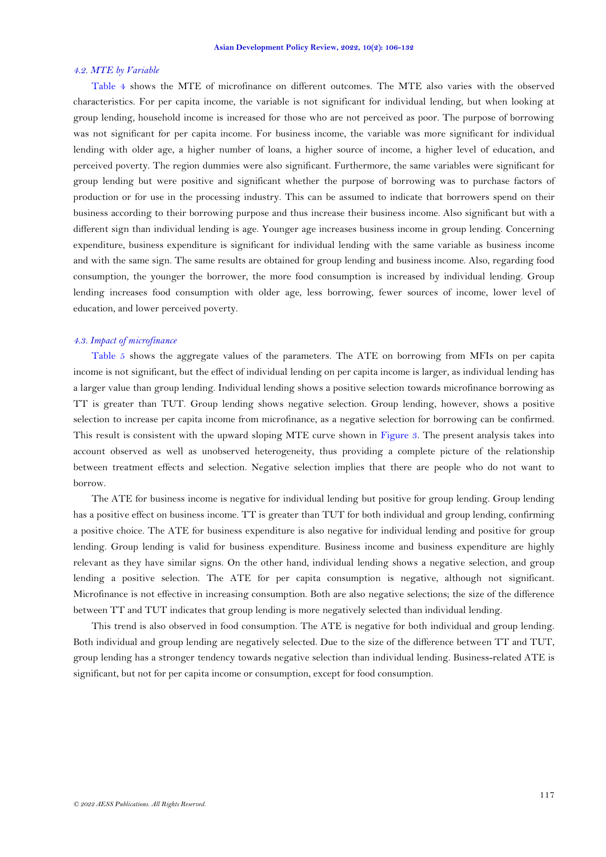#### *4.2. MTE by Variable*

[Table 4](#page-10-0) shows the MTE of microfinance on different outcomes. The MTE also varies with the observed characteristics. For per capita income, the variable is not significant for individual lending, but when looking at group lending, household income is increased for those who are not perceived as poor. The purpose of borrowing was not significant for per capita income. For business income, the variable was more significant for individual lending with older age, a higher number of loans, a higher source of income, a higher level of education, and perceived poverty. The region dummies were also significant. Furthermore, the same variables were significant for group lending but were positive and significant whether the purpose of borrowing was to purchase factors of production or for use in the processing industry. This can be assumed to indicate that borrowers spend on their business according to their borrowing purpose and thus increase their business income. Also significant but with a different sign than individual lending is age. Younger age increases business income in group lending. Concerning expenditure, business expenditure is significant for individual lending with the same variable as business income and with the same sign. The same results are obtained for group lending and business income. Also, regarding food consumption, the younger the borrower, the more food consumption is increased by individual lending. Group lending increases food consumption with older age, less borrowing, fewer sources of income, lower level of education, and lower perceived poverty.

## *4.3. Impact of microfinance*

[Table 5](#page-12-0) shows the aggregate values of the parameters. The ATE on borrowing from MFIs on per capita income is not significant, but the effect of individual lending on per capita income is larger, as individual lending has a larger value than group lending. Individual lending shows a positive selection towards microfinance borrowing as TT is greater than TUT. Group lending shows negative selection. Group lending, however, shows a positive selection to increase per capita income from microfinance, as a negative selection for borrowing can be confirmed. This result is consistent with the upward sloping MTE curve shown in [Figure 3.](#page-8-1) The present analysis takes into account observed as well as unobserved heterogeneity, thus providing a complete picture of the relationship between treatment effects and selection. Negative selection implies that there are people who do not want to borrow.

The ATE for business income is negative for individual lending but positive for group lending. Group lending has a positive effect on business income. TT is greater than TUT for both individual and group lending, confirming a positive choice. The ATE for business expenditure is also negative for individual lending and positive for group lending. Group lending is valid for business expenditure. Business income and business expenditure are highly relevant as they have similar signs. On the other hand, individual lending shows a negative selection, and group lending a positive selection. The ATE for per capita consumption is negative, although not significant. Microfinance is not effective in increasing consumption. Both are also negative selections; the size of the difference between TT and TUT indicates that group lending is more negatively selected than individual lending.

This trend is also observed in food consumption. The ATE is negative for both individual and group lending. Both individual and group lending are negatively selected. Due to the size of the difference between TT and TUT, group lending has a stronger tendency towards negative selection than individual lending. Business-related ATE is significant, but not for per capita income or consumption, except for food consumption.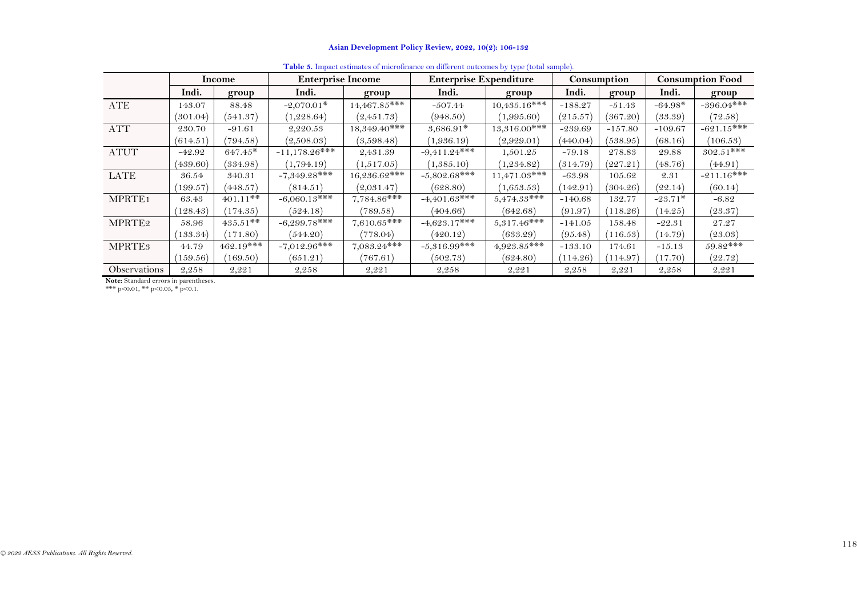|                    |          | Income      | <b>Enterprise Income</b> |                | <b>Enterprise Expenditure</b> | $\frac{1}{2}$ calcomes by $\frac{1}{2}$ pc (to an sample). |           | Consumption |           | <b>Consumption Food</b> |
|--------------------|----------|-------------|--------------------------|----------------|-------------------------------|------------------------------------------------------------|-----------|-------------|-----------|-------------------------|
|                    | Indi.    | group       | Indi.                    | group          | Indi.                         | group                                                      | Indi.     | group       | Indi.     | group                   |
| ATE                | 143.07   | 88.48       | $-2,070.01*$             | $14,467.85***$ | $-507.44$                     | $10,435.16***$                                             | $-188.27$ | $-51.43$    | $-64.98*$ | $-396.04***$            |
|                    | (301.04) | (541.37)    | (1,228.64)               | (2,451.73)     | (948.50)                      | (1,995.60)                                                 | (215.57)  | (367.20)    | (33.39)   | (72.58)                 |
| <b>ATT</b>         | 230.70   | $-91.61$    | 2,220.53                 | $18,349.40***$ | $3,686.91*$                   | $13,316.00$ ***                                            | $-239.69$ | $-157.80$   | $-109.67$ | $-621.15***$            |
|                    | (614.51) | (794.58)    | (2,508.03)               | (3,598.48)     | (1,936.19)                    | (2,929.01)                                                 | (440.04)  | (538.95)    | (68.16)   | (106.53)                |
| <b>ATUT</b>        | $-42.92$ | $647.45*$   | $-11,178.26***$          | 2,431.39       | $-9,411.24***$                | 1,501.25                                                   | $-79.18$  | 278.83      | 29.88     | $302.51***$             |
|                    | (439.60) | (334.98)    | (1,794.19)               | (1,517.05)     | (1,385.10)                    | (1, 234.82)                                                | (314.79)  | (227.21)    | (48.76)   | (44.91)                 |
| LATE               | 36.54    | 340.31      | $-7,349.28***$           | $16,236.62***$ | $-5,802.68***$                | $11,471.03$ ***                                            | $-63.98$  | 105.62      | 2.31      | $-211.16***$            |
|                    | (199.57) | (448.57)    | (814.51)                 | (2,031.47)     | (628.80)                      | (1,653.53)                                                 | (142.91)  | (304.26)    | (22.14)   | (60.14)                 |
| MPRTE <sub>1</sub> | 63.43    | $401.11**$  | $-6,060.13***$           | $7,784.86***$  | $-4,401.63$ ***               | $5,474.33***$                                              | $-140.68$ | 132.77      | $-23.71*$ | $-6.82$                 |
|                    | (128.43) | (174.35)    | (524.18)                 | (789.58)       | (404.66)                      | (642.68)                                                   | (91.97)   | (118.26)    | (14.25)   | (23.37)                 |
| MPRTE2             | 58.96    | $435.51**$  | $-6,299.78***$           | $7,610.65***$  | $-4,623.17***$                | $5,317.46***$                                              | $-141.05$ | 158.48      | $-22.31$  | 27.27                   |
|                    | (133.34) | (171.80)    | (544.20)                 | (778.04)       | (420.12)                      | (633.29)                                                   | (95.48)   | (116.53)    | (14.79)   | (23.03)                 |
| MPRTE <sub>3</sub> | 44.79    | $462.19***$ | $-7,012.96***$           | $7,083.24***$  | $-5,316.99***$                | $4,923.85***$                                              | $-133.10$ | 174.61      | $-15.13$  | $59.82***$              |
|                    | (159.56) | (169.50)    | (651.21)                 | (767.61)       | (502.73)                      | (624.80)                                                   | (114.26)  | (114.97)    | (17.70)   | (22.72)                 |
| Observations       | 2,258    | 2,221       | 2,258                    | 2,221          | 2,258                         | 2,221                                                      | 2,258     | 2,221       | 2,258     | 2,221                   |

**Table 5.** Impact estimates of microfinance on different outcomes by type (total sample).

<span id="page-12-0"></span>**Note:** Standard errors in parentheses. \*\*\* p<0.01, \*\* p<0.05, \* p<0.1.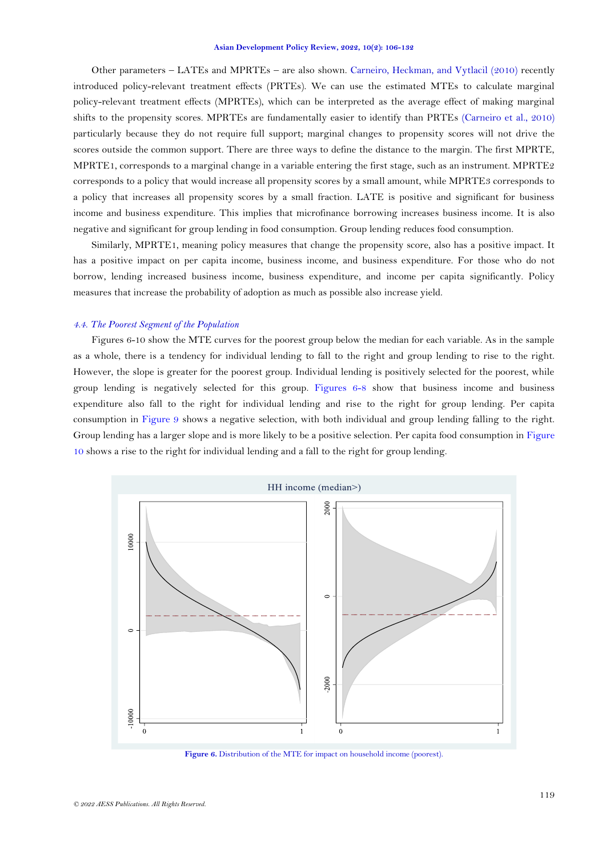Other parameters – LATEs and MPRTEs – are also shown. [Carneiro, Heckman, and Vytlacil \(2010\)](#page-25-10) recently introduced policy-relevant treatment effects (PRTEs). We can use the estimated MTEs to calculate marginal policy-relevant treatment effects (MPRTEs), which can be interpreted as the average effect of making marginal shifts to the propensity scores. MPRTEs are fundamentally easier to identify than PRTEs [\(Carneiro et al., 2010\)](#page-25-10) particularly because they do not require full support; marginal changes to propensity scores will not drive the scores outside the common support. There are three ways to define the distance to the margin. The first MPRTE, MPRTE1, corresponds to a marginal change in a variable entering the first stage, such as an instrument. MPRTE2 corresponds to a policy that would increase all propensity scores by a small amount, while MPRTE3 corresponds to a policy that increases all propensity scores by a small fraction. LATE is positive and significant for business income and business expenditure. This implies that microfinance borrowing increases business income. It is also negative and significant for group lending in food consumption. Group lending reduces food consumption.

Similarly, MPRTE1, meaning policy measures that change the propensity score, also has a positive impact. It has a positive impact on per capita income, business income, and business expenditure. For those who do not borrow, lending increased business income, business expenditure, and income per capita significantly. Policy measures that increase the probability of adoption as much as possible also increase yield.

### *4.4. The Poorest Segment of the Population*

Figures 6-10 show the MTE curves for the poorest group below the median for each variable. As in the sample as a whole, there is a tendency for individual lending to fall to the right and group lending to rise to the right. However, the slope is greater for the poorest group. Individual lending is positively selected for the poorest, while group lending is negatively selected for this group. [Figures](#page-13-0) 6-8 show that business income and business expenditure also fall to the right for individual lending and rise to the right for group lending. Per capita consumption in [Figure 9](#page-15-0) shows a negative selection, with both individual and group lending falling to the right. Group lending has a larger slope and is more likely to be a positive selection. Per capita food consumption in Figure [10](#page-15-1) shows a rise to the right for individual lending and a fall to the right for group lending.



<span id="page-13-0"></span>**Figure 6.** Distribution of the MTE for impact on household income (poorest).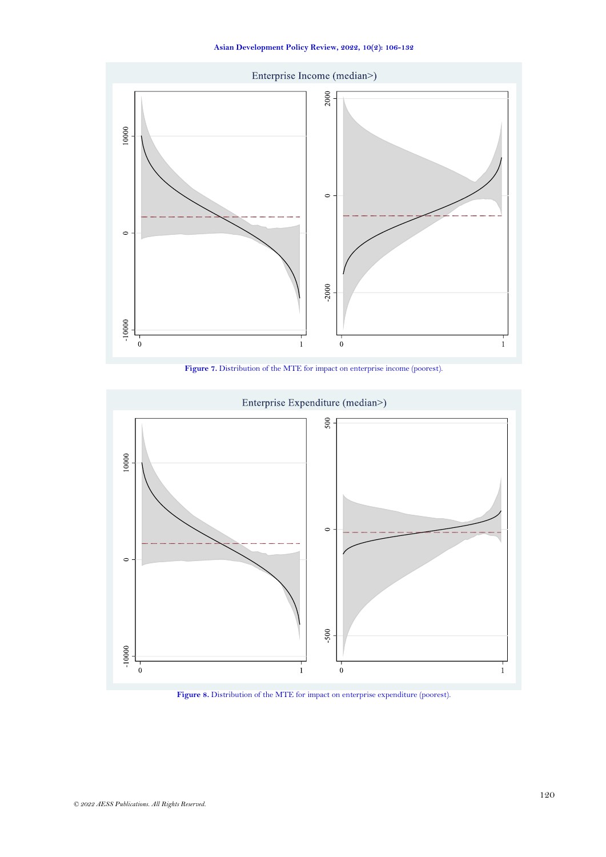**Asian Development Policy Review, 2022, 10(2): 106-132**



**Figure 7.** Distribution of the MTE for impact on enterprise income (poorest).



**Figure 8.** Distribution of the MTE for impact on enterprise expenditure (poorest).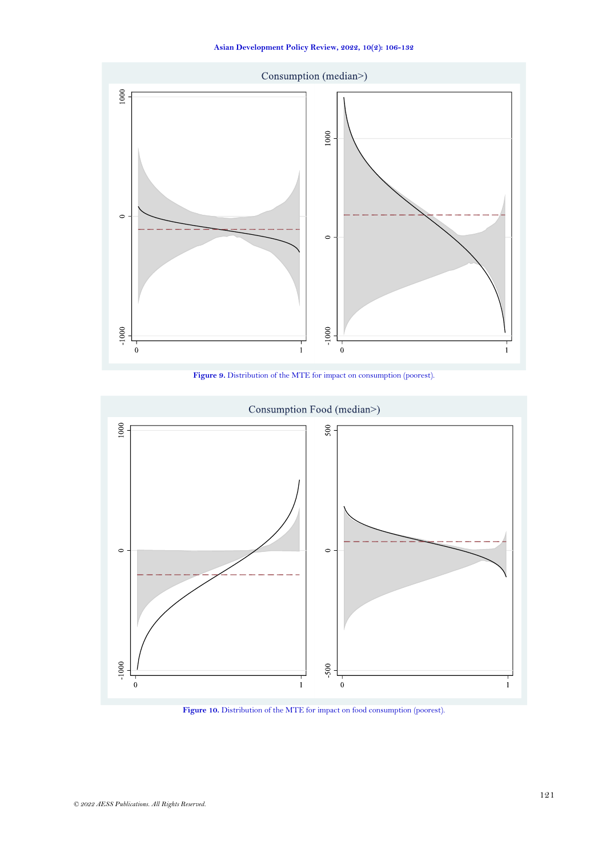**Asian Development Policy Review, 2022, 10(2): 106-132**



**Figure 9.** Distribution of the MTE for impact on consumption (poorest).

<span id="page-15-0"></span>

<span id="page-15-1"></span>Figure 10. Distribution of the MTE for impact on food consumption (poorest).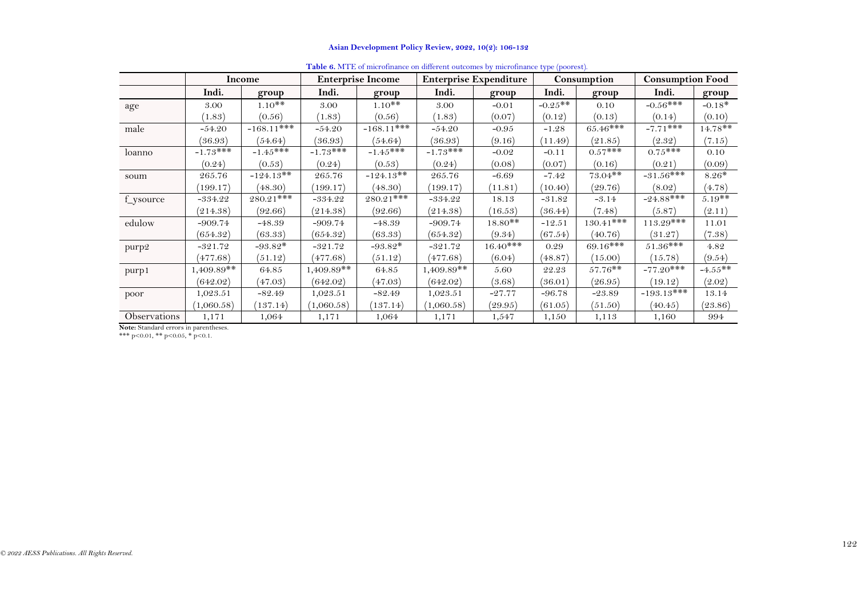|              |              | Income       |              | <b>Enterprise Income</b> |              | <b>Table 0.</b> MTE of find officially off attending or accounts by find officially (poorest).<br><b>Enterprise Expenditure</b> |           | Consumption | <b>Consumption Food</b> |           |
|--------------|--------------|--------------|--------------|--------------------------|--------------|---------------------------------------------------------------------------------------------------------------------------------|-----------|-------------|-------------------------|-----------|
|              | Indi.        | group        | Indi.        | group                    | Indi.        | group                                                                                                                           | Indi.     | group       | Indi.                   | group     |
| age          | 3.00         | $1.10**$     | 3.00         | $1.10^{**}$              | 3.00         | $-0.01$                                                                                                                         | $-0.25**$ | 0.10        | $-0.56***$              | $-0.18*$  |
|              | (1.83)       | (0.56)       | (1.83)       | (0.56)                   | (1.83)       | (0.07)                                                                                                                          | (0.12)    | (0.13)      | (0.14)                  | (0.10)    |
| male         | $-54.20$     | $-168.11***$ | $-54.20$     | $-168.11***$             | $-54.20$     | $-0.95$                                                                                                                         | $-1.28$   | $65.46***$  | $-7.71***$              | $14.78**$ |
|              | (36.93)      | (54.64)      | (36.93)      | (54.64)                  | (36.93)      | (9.16)                                                                                                                          | (11.49)   | (21.85)     | (2.32)                  | (7.15)    |
| loanno       | $-1.73***$   | $-1.45***$   | $-1.73***$   | $-1.45***$               | $-1.73***$   | $-0.02$                                                                                                                         | $-0.11$   | $0.57***$   | $0.75***$               | 0.10      |
|              | (0.24)       | (0.53)       | (0.24)       | (0.53)                   | (0.24)       | (0.08)                                                                                                                          | (0.07)    | (0.16)      | (0.21)                  | (0.09)    |
| soum         | 265.76       | $-124.13**$  | 265.76       | $-124.13**$              | 265.76       | $-6.69$                                                                                                                         | $-7.42$   | $73.04**$   | $-31.56***$             | $8.26*$   |
|              | 199.17)      | (48.30)      | 199.17)      | (48.30)                  | 199.17)      | (11.81)                                                                                                                         | (10.40)   | (29.76)     | (8.02)                  | (4.78)    |
| f_ysource    | $-334.22$    | $280.21***$  | $-334.22$    | $280.21***$              | $-334.22$    | 18.13                                                                                                                           | $-31.82$  | $-3.14$     | $-24.88***$             | $5.19**$  |
|              | (214.38)     | (92.66)      | (214.38)     | (92.66)                  | (214.38)     | (16.53)                                                                                                                         | (36.44)   | (7.48)      | (5.87)                  | (2.11)    |
| edulow       | $-909.74$    | $-48.39$     | $-909.74$    | $-48.39$                 | $-909.74$    | $18.80**$                                                                                                                       | $-12.51$  | $130.41***$ | $113.29***$             | 11.01     |
|              | (654.32)     | (63.33)      | (654.32)     | (63.33)                  | (654.32)     | (9.34)                                                                                                                          | (67.54)   | (40.76)     | (31.27)                 | (7.38)    |
| purp2        | $-321.72$    | $-93.82*$    | $-321.72$    | $-93.82*$                | $-321.72$    | $16.40***$                                                                                                                      | 0.29      | 69.16***    | $51.36***$              | 4.82      |
|              | (477.68)     | (51.12)      | (477.68)     | (51.12)                  | (477.68)     | (6.04)                                                                                                                          | (48.87)   | (15.00)     | (15.78)                 | (9.54)    |
| purp1        | $1,409.89**$ | 64.85        | $1,409.89**$ | 64.85                    | $1,409.89**$ | 5.60                                                                                                                            | 22.23     | $57.76**$   | $-77.20***$             | $-4.55**$ |
|              | (642.02)     | (47.03)      | (642.02)     | (47.03)                  | (642.02)     | (3.68)                                                                                                                          | (36.01)   | (26.95)     | (19.12)                 | (2.02)    |
| poor         | 1,023.51     | $-82.49$     | 1,023.51     | $-82.49$                 | 1,023.51     | $-27.77$                                                                                                                        | $-96.78$  | $-23.89$    | $-193.13***$            | 13.14     |
|              | (1,060.58)   | 137.14)      | (1,060.58)   | 137.14)                  | (1,060.58)   | (29.95)                                                                                                                         | (61.05)   | (51.50)     | (40.45)                 | (23.86)   |
| Observations | 1,171        | 1,064        | 1,171        | 1,064                    | 1,171        | 1,547                                                                                                                           | 1,150     | 1,113       | 1,160                   | 994       |

**Table 6.** MTE of microfinance on different outcomes by microfinance type (poorest).

<span id="page-16-0"></span>**Note:** Standard errors in parentheses.<br>\*\*\* p<0.01, \*\* p<0.05, \* p<0.1.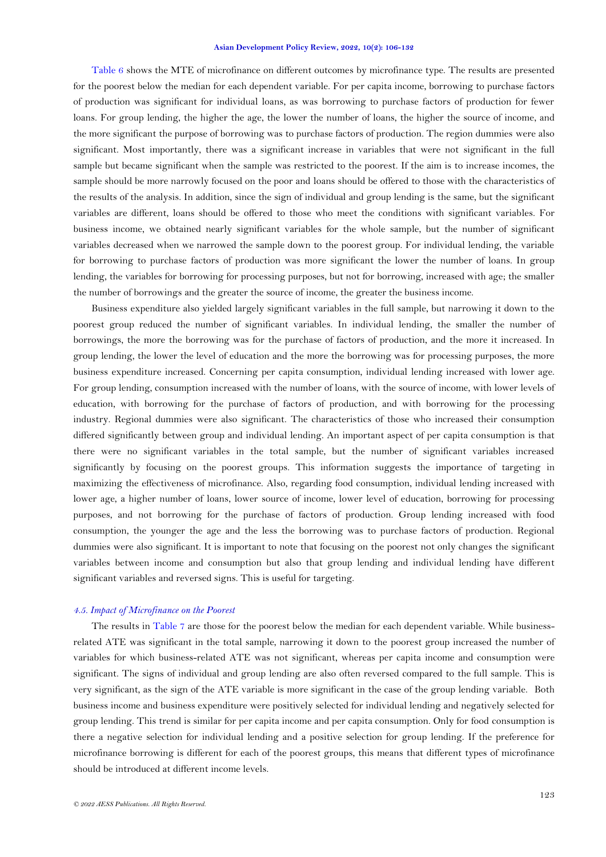[Table 6](#page-16-0) shows the MTE of microfinance on different outcomes by microfinance type. The results are presented for the poorest below the median for each dependent variable. For per capita income, borrowing to purchase factors of production was significant for individual loans, as was borrowing to purchase factors of production for fewer loans. For group lending, the higher the age, the lower the number of loans, the higher the source of income, and the more significant the purpose of borrowing was to purchase factors of production. The region dummies were also significant. Most importantly, there was a significant increase in variables that were not significant in the full sample but became significant when the sample was restricted to the poorest. If the aim is to increase incomes, the sample should be more narrowly focused on the poor and loans should be offered to those with the characteristics of the results of the analysis. In addition, since the sign of individual and group lending is the same, but the significant variables are different, loans should be offered to those who meet the conditions with significant variables. For business income, we obtained nearly significant variables for the whole sample, but the number of significant variables decreased when we narrowed the sample down to the poorest group. For individual lending, the variable for borrowing to purchase factors of production was more significant the lower the number of loans. In group lending, the variables for borrowing for processing purposes, but not for borrowing, increased with age; the smaller the number of borrowings and the greater the source of income, the greater the business income.

Business expenditure also yielded largely significant variables in the full sample, but narrowing it down to the poorest group reduced the number of significant variables. In individual lending, the smaller the number of borrowings, the more the borrowing was for the purchase of factors of production, and the more it increased. In group lending, the lower the level of education and the more the borrowing was for processing purposes, the more business expenditure increased. Concerning per capita consumption, individual lending increased with lower age. For group lending, consumption increased with the number of loans, with the source of income, with lower levels of education, with borrowing for the purchase of factors of production, and with borrowing for the processing industry. Regional dummies were also significant. The characteristics of those who increased their consumption differed significantly between group and individual lending. An important aspect of per capita consumption is that there were no significant variables in the total sample, but the number of significant variables increased significantly by focusing on the poorest groups. This information suggests the importance of targeting in maximizing the effectiveness of microfinance. Also, regarding food consumption, individual lending increased with lower age, a higher number of loans, lower source of income, lower level of education, borrowing for processing purposes, and not borrowing for the purchase of factors of production. Group lending increased with food consumption, the younger the age and the less the borrowing was to purchase factors of production. Regional dummies were also significant. It is important to note that focusing on the poorest not only changes the significant variables between income and consumption but also that group lending and individual lending have different significant variables and reversed signs. This is useful for targeting.

### *4.5. Impact of Microfinance on the Poorest*

The results in [Table 7](#page-18-0) are those for the poorest below the median for each dependent variable. While businessrelated ATE was significant in the total sample, narrowing it down to the poorest group increased the number of variables for which business-related ATE was not significant, whereas per capita income and consumption were significant. The signs of individual and group lending are also often reversed compared to the full sample. This is very significant, as the sign of the ATE variable is more significant in the case of the group lending variable. Both business income and business expenditure were positively selected for individual lending and negatively selected for group lending. This trend is similar for per capita income and per capita consumption. Only for food consumption is there a negative selection for individual lending and a positive selection for group lending. If the preference for microfinance borrowing is different for each of the poorest groups, this means that different types of microfinance should be introduced at different income levels.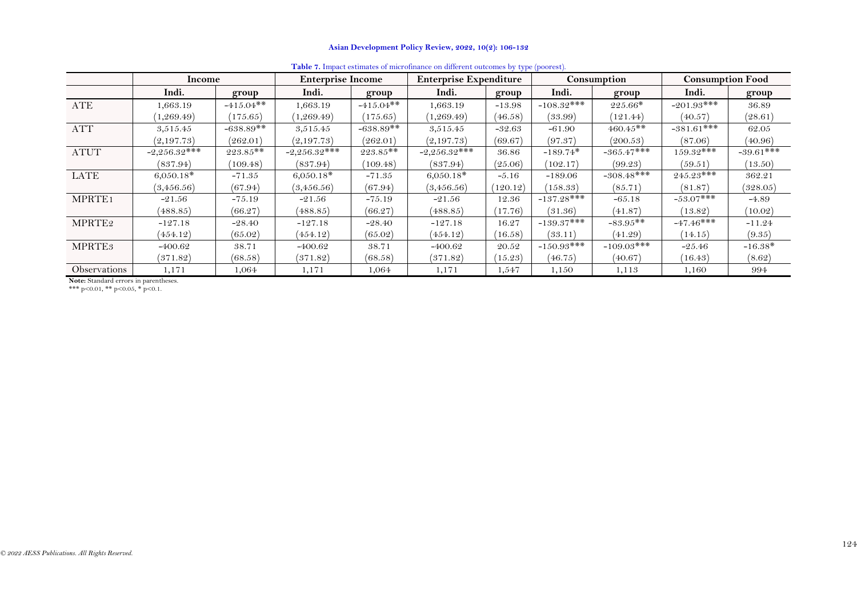|                    | Income         |             | <b>Enterprise Income</b> |             | <b>Enterprise Expenditure</b> |          |              | Consumption  | <b>Consumption Food</b> |             |
|--------------------|----------------|-------------|--------------------------|-------------|-------------------------------|----------|--------------|--------------|-------------------------|-------------|
|                    | Indi.          | group       | Indi.                    | group       | Indi.                         | group    | Indi.        | group        | Indi.                   | group       |
| ATE                | 1,663.19       | $-415.04**$ | 1,663.19                 | $-415.04**$ | 1,663.19                      | $-13.98$ | $-108.32***$ | $225.66*$    | $-201.93***$            | 36.89       |
|                    | (1, 269.49)    | (175.65)    | (1, 269.49)              | (175.65)    | 1,269.49)                     | (46.58)  | (33.99)      | (121.44)     | (40.57)                 | (28.61)     |
| <b>ATT</b>         | 3,515.45       | $-638.89**$ | 3,515.45                 | $-638.89**$ | 3,515.45                      | $-32.63$ | $-61.90$     | $460.45**$   | $-381.61***$            | 62.05       |
|                    | (2,197.73)     | (262.01)    | (2,197.73)               | (262.01)    | (2,197.73)                    | (69.67)  | (97.37)      | (200.53)     | (87.06)                 | (40.96)     |
| <b>ATUT</b>        | $-2,256.32***$ | $223.85**$  | $-2,256.32***$           | $223.85**$  | $-2,256.32***$                | 36.86    | $-189.74*$   | $-365.47***$ | $159.32***$             | $-39.61***$ |
|                    | (837.94)       | (109.48)    | (837.94)                 | (109.48)    | (837.94)                      | (25.06)  | (102.17)     | (99.23)      | (59.51)                 | (13.50)     |
| LATE               | $6,050.18*$    | $-71.35$    | $6,050.18*$              | $-71.35$    | $6,050.18*$                   | $-5.16$  | $-189.06$    | $-308.48***$ | $245.23***$             | 362.21      |
|                    | (3,456.56)     | (67.94)     | (3,456.56)               | (67.94)     | (3,456.56)                    | (120.12) | (158.33)     | (85.71)      | (81.87)                 | (328.05)    |
| MPRTE <sub>1</sub> | $-21.56$       | $-75.19$    | $-21.56$                 | $-75.19$    | $-21.56$                      | 12.36    | $-137.28***$ | $-65.18$     | $-53.07***$             | $-4.89$     |
|                    | (488.85)       | (66.27)     | (488.85)                 | (66.27)     | (488.85)                      | (17.76)  | (31.36)      | (41.87)      | (13.82)                 | (10.02)     |
| MPRTE2             | $-127.18$      | $-28.40$    | $-127.18$                | $-28.40$    | $-127.18$                     | 16.27    | $-139.37***$ | $-83.95**$   | $-47.46***$             | $-11.24$    |
|                    | (454.12)       | (65.02)     | (454.12)                 | (65.02)     | (454.12)                      | (16.58)  | (33.11)      | (41.29)      | (14.15)                 | (9.35)      |
| MPRTE <sub>3</sub> | $-400.62$      | 38.71       | $-400.62$                | 38.71       | $-400.62$                     | 20.52    | $-150.93***$ | $-109.03***$ | $-25.46$                | $-16.38*$   |
|                    | (371.82)       | (68.58)     | (371.82)                 | (68.58)     | (371.82)                      | 15.23)   | (46.75)      | (40.67)      | (16.43)                 | (8.62)      |
| Observations       | 1,171          | 1,064       | 1,171                    | 1,064       | 1,171                         | 1,547    | 1,150        | 1,113        | 1,160                   | 994         |

**Table 7.** Impact estimates of microfinance on different outcomes by type (poorest).

**Note:** Standard errors in parentheses. \*\*\* p<0.01, \*\* p<0.05, \* p<0.1.

<span id="page-18-0"></span>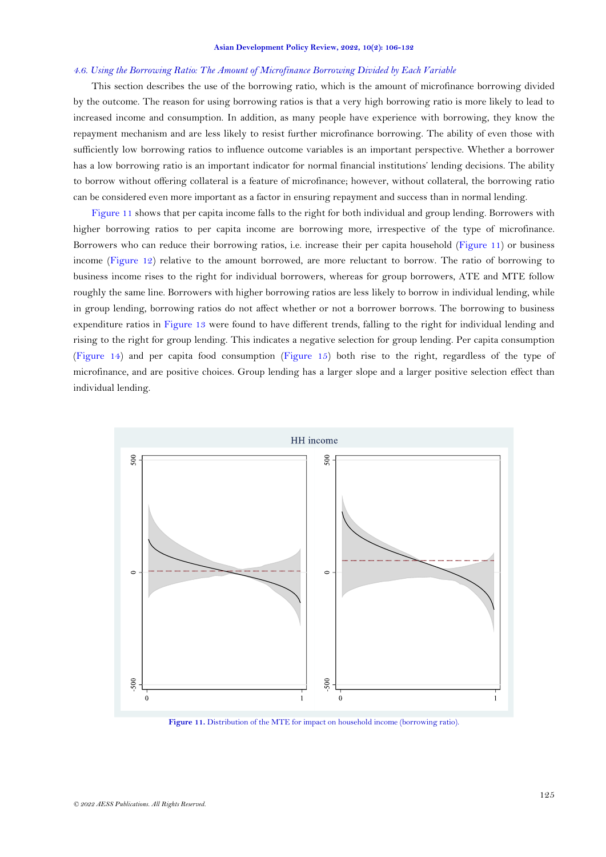#### *4.6. Using the Borrowing Ratio: The Amount of Microfinance Borrowing Divided by Each Variable*

This section describes the use of the borrowing ratio, which is the amount of microfinance borrowing divided by the outcome. The reason for using borrowing ratios is that a very high borrowing ratio is more likely to lead to increased income and consumption. In addition, as many people have experience with borrowing, they know the repayment mechanism and are less likely to resist further microfinance borrowing. The ability of even those with sufficiently low borrowing ratios to influence outcome variables is an important perspective. Whether a borrower has a low borrowing ratio is an important indicator for normal financial institutions' lending decisions. The ability to borrow without offering collateral is a feature of microfinance; however, without collateral, the borrowing ratio can be considered even more important as a factor in ensuring repayment and success than in normal lending.

[Figure 11](#page-19-0) shows that per capita income falls to the right for both individual and group lending. Borrowers with higher borrowing ratios to per capita income are borrowing more, irrespective of the type of microfinance. Borrowers who can reduce their borrowing ratios, i.e. increase their per capita household [\(Figure 11\)](#page-19-0) or business income [\(Figure 12\)](#page-20-0) relative to the amount borrowed, are more reluctant to borrow. The ratio of borrowing to business income rises to the right for individual borrowers, whereas for group borrowers, ATE and MTE follow roughly the same line. Borrowers with higher borrowing ratios are less likely to borrow in individual lending, while in group lending, borrowing ratios do not affect whether or not a borrower borrows. The borrowing to business expenditure ratios in [Figure 13](#page-20-1) were found to have different trends, falling to the right for individual lending and rising to the right for group lending. This indicates a negative selection for group lending. Per capita consumption [\(Figure 14\)](#page-21-0) and per capita food consumption [\(Figure 15\)](#page-21-1) both rise to the right, regardless of the type of microfinance, and are positive choices. Group lending has a larger slope and a larger positive selection effect than individual lending.



<span id="page-19-0"></span>**Figure 11.** Distribution of the MTE for impact on household income (borrowing ratio).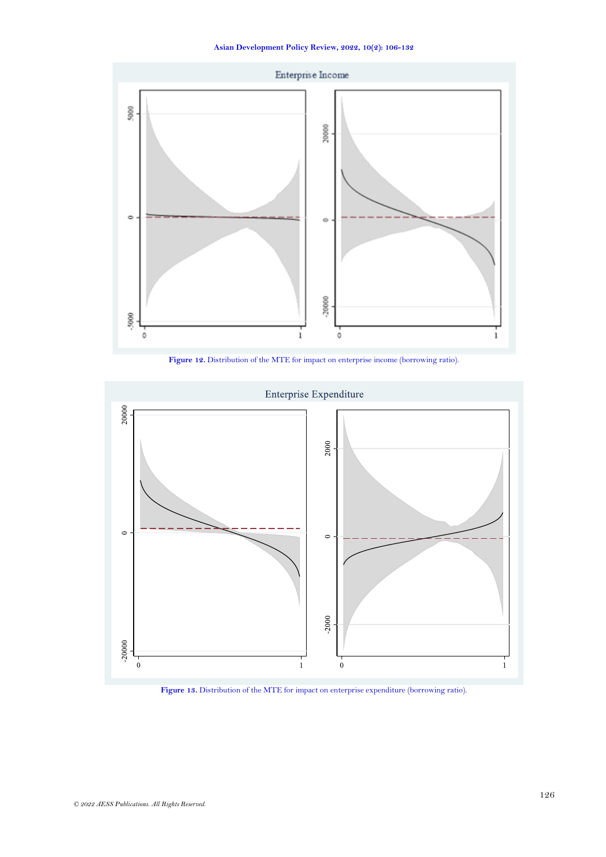

**Figure 12.** Distribution of the MTE for impact on enterprise income (borrowing ratio).

<span id="page-20-0"></span>

<span id="page-20-1"></span>**Figure 13.** Distribution of the MTE for impact on enterprise expenditure (borrowing ratio).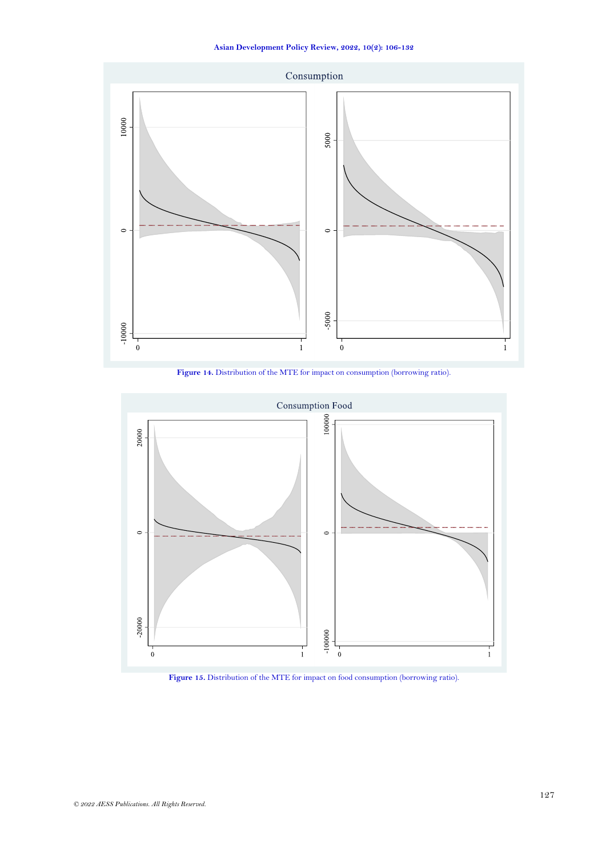**Asian Development Policy Review, 2022, 10(2): 106-132**



**Figure 14.** Distribution of the MTE for impact on consumption (borrowing ratio).

<span id="page-21-0"></span>

<span id="page-21-1"></span>**Figure 15.** Distribution of the MTE for impact on food consumption (borrowing ratio).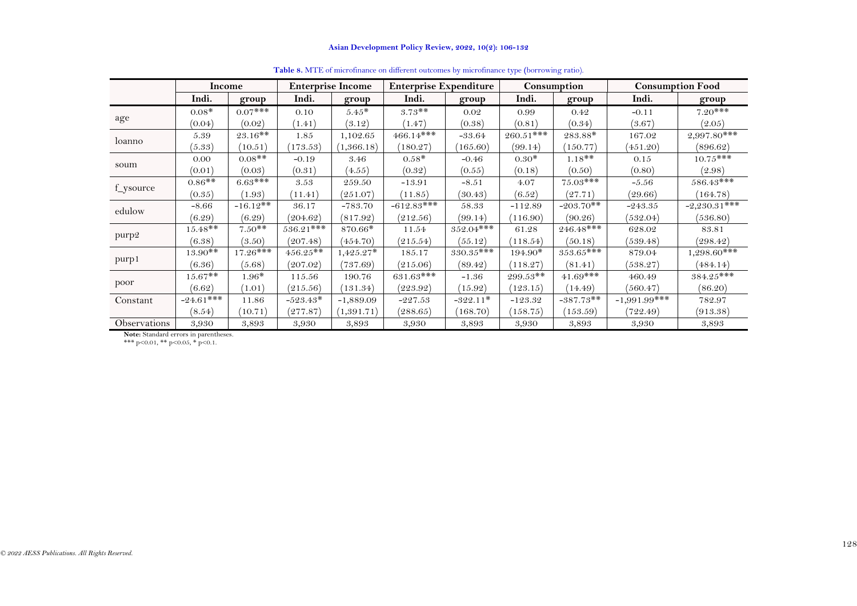|              | Income      |            |             | <b>Enterprise Income</b> | <b>Enterprise Expenditure</b> |             |             | Consumption   | <b>Consumption Food</b> |                |
|--------------|-------------|------------|-------------|--------------------------|-------------------------------|-------------|-------------|---------------|-------------------------|----------------|
|              | Indi.       | group      | Indi.       | group                    | Indi.                         | group       | Indi.       | group         | Indi.                   | group          |
|              | $0.08*$     | $0.07$ *** | 0.10        | $5.45*$                  | $3.73**$                      | 0.02        | 0.99        | 0.42          | $-0.11$                 | $7.20***$      |
| age          | (0.04)      | (0.02)     | (1.41)      | (3.12)                   | (1.47)                        | (0.38)      | (0.81)      | (0.34)        | (3.67)                  | (2.05)         |
| loanno       | 5.39        | $23.16**$  | 1.85        | 1,102.65                 | $466.14***$                   | $-33.64$    | $260.51***$ | $283.88^\ast$ | 167.02                  | $2,997.80***$  |
|              | (5.33)      | (10.51)    | 173.53)     | (1,366.18)               | (180.27)                      | (165.60)    | (99.14)     | (150.77)      | (451.20)                | (896.62)       |
|              | 0.00        | $0.08**$   | $-0.19$     | 3.46                     | $0.58*$                       | $-0.46$     | $0.30*$     | $1.18**$      | 0.15                    | $10.75***$     |
| soum         | (0.01)      | (0.03)     | (0.31)      | (4.55)                   | (0.32)                        | (0.55)      | (0.18)      | (0.50)        | (0.80)                  | (2.98)         |
| f_ysource    | $0.86**$    | $6.63***$  | 3.53        | 259.50                   | $-13.91$                      | $-8.51$     | 4.07        | $75.03***$    | $-5.56$                 | $586.43***$    |
|              | (0.35)      | (1.93)     | (11.41)     | (251.07)                 | (11.85)                       | (30.43)     | (6.52)      | (27.71)       | (29.66)                 | (164.78)       |
| edulow       | $-8.66$     | $-16.12**$ | 36.17       | $-783.70$                | $-612.83***$                  | 58.33       | $-112.89$   | $-203.70**$   | $-243.35$               | $-2,230.31***$ |
|              | (6.29)      | (6.29)     | (204.62)    | (817.92)                 | (212.56)                      | (99.14)     | (116.90)    | (90.26)       | (532.04)                | (536.80)       |
|              | $15.48**$   | $7.50**$   | $536.21***$ | $870.66*$                | 11.54                         | $352.04***$ | 61.28       | $246.48***$   | 628.02                  | 83.81          |
| $p$ urp $2$  | (6.38)      | (3.50)     | (207.48)    | (454.70)                 | (215.54)                      | (55.12)     | (118.54)    | (50.18)       | (539.48)                | (298.42)       |
|              | $13.90**$   | $17.26***$ | $456.25**$  | $1,425.27*$              | 185.17                        | $330.35***$ | 194.90*     | $353.65***$   | 879.04                  | $1,298.60***$  |
| purp1        | (6.36)      | (5.68)     | (207.02)    | (737.69)                 | (215.06)                      | (89.42)     | (118.27)    | (81.41)       | (538.27)                | (484.14)       |
|              | $15.67**$   | $1.96*$    | 115.56      | 190.76                   | $631.63***$                   | $-1.36$     | $299.53**$  | $41.69***$    | 460.49                  | $384.25***$    |
| poor         | (6.62)      | (1.01)     | (215.56)    | (131.34)                 | (223.92)                      | (15.92)     | (123.15)    | (14.49)       | (560.47)                | (86.20)        |
| Constant     | $-24.61***$ | 11.86      | $-523.43*$  | $-1,889.09$              | $-227.53$                     | $-322.11*$  | $-123.32$   | $-387.73**$   | $-1,991.99$ ***         | 782.97         |
|              | (8.54)      | (10.71)    | (277.87)    | (1,391.71)               | (288.65)                      | (168.70)    | (158.75)    | (153.59)      | (722.49)                | (913.38)       |
| Observations | 3,930       | 3,893      | 3,930       | 3,893                    | 3,930                         | 3,893       | 3,930       | 3,893         | 3,930                   | 3,893          |

**Table 8.** MTE of microfinance on different outcomes by microfinance type **(**borrowing ratio).

<span id="page-22-0"></span>

**Note:** Standard errors in parentheses. \*\*\* p<0.01, \*\* p<0.05, \* p<0.1.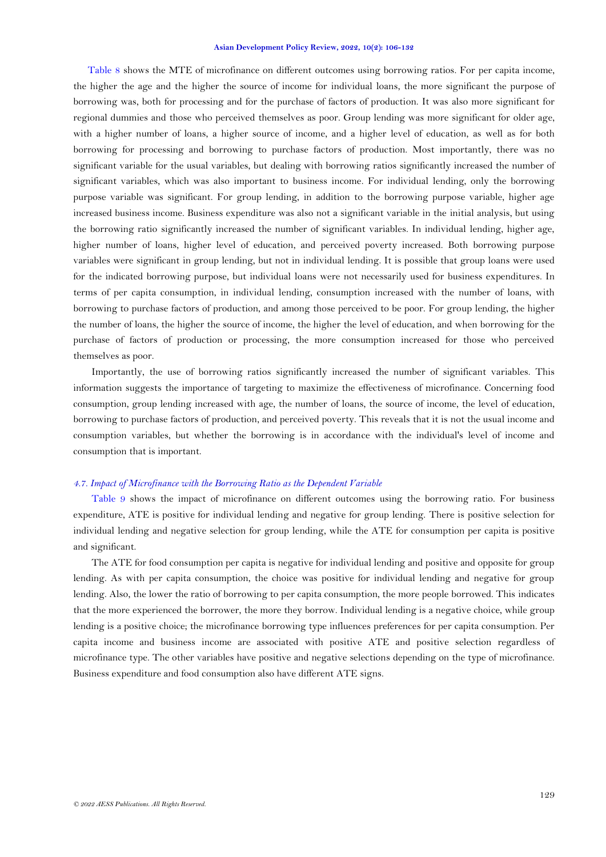[Table 8](#page-22-0) shows the MTE of microfinance on different outcomes using borrowing ratios. For per capita income, the higher the age and the higher the source of income for individual loans, the more significant the purpose of borrowing was, both for processing and for the purchase of factors of production. It was also more significant for regional dummies and those who perceived themselves as poor. Group lending was more significant for older age, with a higher number of loans, a higher source of income, and a higher level of education, as well as for both borrowing for processing and borrowing to purchase factors of production. Most importantly, there was no significant variable for the usual variables, but dealing with borrowing ratios significantly increased the number of significant variables, which was also important to business income. For individual lending, only the borrowing purpose variable was significant. For group lending, in addition to the borrowing purpose variable, higher age increased business income. Business expenditure was also not a significant variable in the initial analysis, but using the borrowing ratio significantly increased the number of significant variables. In individual lending, higher age, higher number of loans, higher level of education, and perceived poverty increased. Both borrowing purpose variables were significant in group lending, but not in individual lending. It is possible that group loans were used for the indicated borrowing purpose, but individual loans were not necessarily used for business expenditures. In terms of per capita consumption, in individual lending, consumption increased with the number of loans, with borrowing to purchase factors of production, and among those perceived to be poor. For group lending, the higher the number of loans, the higher the source of income, the higher the level of education, and when borrowing for the purchase of factors of production or processing, the more consumption increased for those who perceived themselves as poor.

Importantly, the use of borrowing ratios significantly increased the number of significant variables. This information suggests the importance of targeting to maximize the effectiveness of microfinance. Concerning food consumption, group lending increased with age, the number of loans, the source of income, the level of education, borrowing to purchase factors of production, and perceived poverty. This reveals that it is not the usual income and consumption variables, but whether the borrowing is in accordance with the individual's level of income and consumption that is important.

# *4.7. Impact of Microfinance with the Borrowing Ratio as the Dependent Variable*

[Table 9](#page-24-0) shows the impact of microfinance on different outcomes using the borrowing ratio. For business expenditure, ATE is positive for individual lending and negative for group lending. There is positive selection for individual lending and negative selection for group lending, while the ATE for consumption per capita is positive and significant.

The ATE for food consumption per capita is negative for individual lending and positive and opposite for group lending. As with per capita consumption, the choice was positive for individual lending and negative for group lending. Also, the lower the ratio of borrowing to per capita consumption, the more people borrowed. This indicates that the more experienced the borrower, the more they borrow. Individual lending is a negative choice, while group lending is a positive choice; the microfinance borrowing type influences preferences for per capita consumption. Per capita income and business income are associated with positive ATE and positive selection regardless of microfinance type. The other variables have positive and negative selections depending on the type of microfinance. Business expenditure and food consumption also have different ATE signs.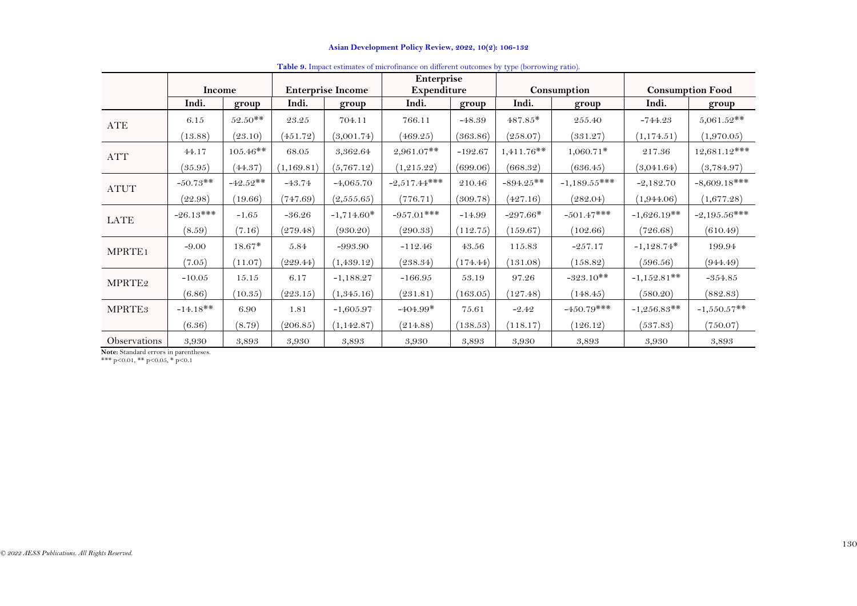|                    |             |            |            | Enterprise               |                |           |              |                |               |                         |
|--------------------|-------------|------------|------------|--------------------------|----------------|-----------|--------------|----------------|---------------|-------------------------|
|                    | Income      |            |            | <b>Enterprise Income</b> | Expenditure    |           |              | Consumption    |               | <b>Consumption Food</b> |
|                    | Indi.       | group      | Indi.      | group                    | Indi.          | group     | Indi.        | group          | Indi.         | group                   |
| ATE                | 6.15        | $52.50**$  | 23.25      | 704.11                   | 766.11         | $-48.39$  | $487.85*$    | 255.40         | $-744.23$     | $5,061.52**$            |
|                    | (13.88)     | (23.10)    | (451.72)   | (3,001.74)               | (469.25)       | (363.86)  | (258.07)     | (331.27)       | (1, 174.51)   | (1,970.05)              |
| ATT                | 44.17       | $105.46**$ | 68.05      | 3,362.64                 | $2,961.07**$   | $-192.67$ | $1,411.76**$ | $1,060.71*$    | 217.36        | $12,681.12***$          |
|                    | (35.95)     | (44.37)    | (1,169.81) | (5, 767.12)              | (1, 215.22)    | (699.06)  | (668.32)     | (636.45)       | (3,041.64)    | (3,784.97)              |
| <b>ATUT</b>        | $-50.73**$  | $-42.52**$ | $-43.74$   | $-4,065.70$              | $-2,517.44***$ | 210.46    | $-894.25**$  | $-1,189.55***$ | $-2,182.70$   | $-8,609.18***$          |
|                    | (22.98)     | (19.66)    | (747.69)   | (2, 555.65)              | (776.71)       | (309.78)  | (427.16)     | (282.04)       | (1,944.06)    | (1,677.28)              |
| LATE               | $-26.13***$ | $-1.65$    | $-36.26$   | $-1,714.60*$             | $-957.01***$   | $-14.99$  | $-297.66*$   | $-501.47***$   | $-1,626.19**$ | $-2,195.56***$          |
|                    | (8.59)      | (7.16)     | (279.48)   | (930.20)                 | (290.33)       | (112.75)  | (159.67)     | (102.66)       | (726.68)      | (610.49)                |
| MPRTE <sub>1</sub> | $-9.00$     | $18.67*$   | 5.84       | $-993.90$                | $-112.46$      | 43.56     | 115.83       | $-257.17$      | $-1,128.74*$  | 199.94                  |
|                    | (7.05)      | (11.07)    | (229.44)   | (1,439.12)               | (238.34)       | (174.44)  | (131.08)     | (158.82)       | (596.56)      | (944.49)                |
| MPRTE2             | $-10.05$    | 15.15      | 6.17       | $-1,188.27$              | $-166.95$      | 53.19     | 97.26        | $-323.10**$    | $-1,152.81**$ | $-354.85$               |
|                    | (6.86)      | (10.35)    | (223.15)   | (1,345.16)               | (231.81)       | (163.05)  | (127.48)     | (148.45)       | (580.20)      | (882.83)                |
| MPRTE <sub>3</sub> | $-14.18**$  | 6.90       | 1.81       | $-1,605.97$              | $-404.99*$     | 75.61     | $-2.42$      | $-450.79***$   | $-1,256.83**$ | $-1,550.57**$           |
|                    | (6.36)      | (8.79)     | (206.85)   | (1, 142.87)              | (214.88)       | (138.53)  | (118.17)     | (126.12)       | (537.83)      | (750.07)                |
| Observations       | 3,930       | 3,893      | 3,930      | 3,893                    | 3,930          | 3,893     | 3,930        | 3,893          | 3,930         | 3,893                   |

#### **Table 9.** Impact estimates of microfinance on different outcomes by type (borrowing ratio).

<span id="page-24-0"></span>**Note:** Standard errors in parentheses.

\*\*\* p<0.01, \*\* p<0.05, \* p<0.1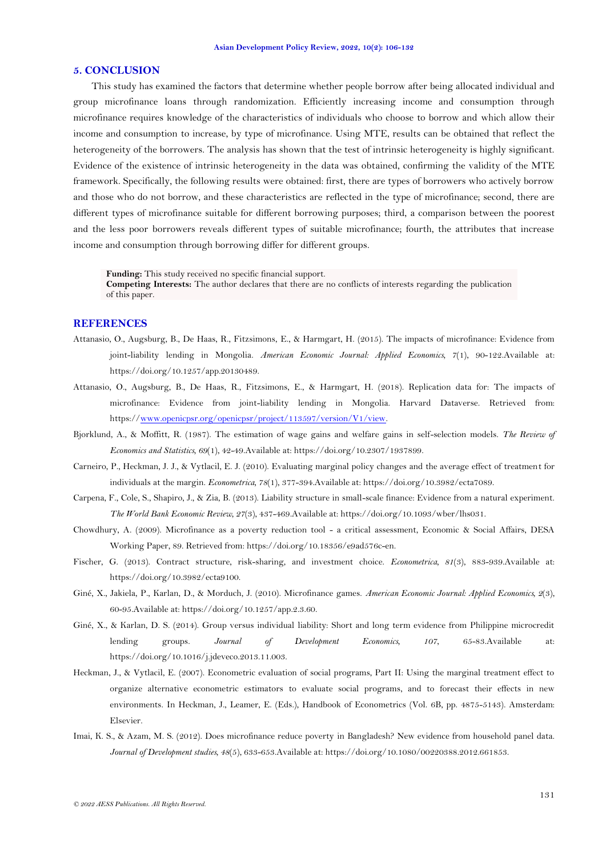#### **5. CONCLUSION**

This study has examined the factors that determine whether people borrow after being allocated individual and group microfinance loans through randomization. Efficiently increasing income and consumption through microfinance requires knowledge of the characteristics of individuals who choose to borrow and which allow their income and consumption to increase, by type of microfinance. Using MTE, results can be obtained that reflect the heterogeneity of the borrowers. The analysis has shown that the test of intrinsic heterogeneity is highly significant. Evidence of the existence of intrinsic heterogeneity in the data was obtained, confirming the validity of the MTE framework. Specifically, the following results were obtained: first, there are types of borrowers who actively borrow and those who do not borrow, and these characteristics are reflected in the type of microfinance; second, there are different types of microfinance suitable for different borrowing purposes; third, a comparison between the poorest and the less poor borrowers reveals different types of suitable microfinance; fourth, the attributes that increase income and consumption through borrowing differ for different groups.

**Funding:** This study received no specific financial support. **Competing Interests:** The author declares that there are no conflicts of interests regarding the publication of this paper.

# **REFERENCES**

- <span id="page-25-2"></span>Attanasio, O., Augsburg, B., De Haas, R., Fitzsimons, E., & Harmgart, H. (2015). The impacts of microfinance: Evidence from joint-liability lending in Mongolia. *American Economic Journal: Applied Economics, 7*(1), 90-122.Available at: https://doi.org/10.1257/app.20130489.
- <span id="page-25-3"></span>Attanasio, O., Augsburg, B., De Haas, R., Fitzsimons, E., & Harmgart, H. (2018). Replication data for: The impacts of microfinance: Evidence from joint-liability lending in Mongolia. Harvard Dataverse. Retrieved from: https:/[/www.openicpsr.org/openicpsr/project/113597/version/V1/view.](http://www.openicpsr.org/openicpsr/project/113597/version/V1/view)
- <span id="page-25-0"></span>Bjorklund, A., & Moffitt, R. (1987). The estimation of wage gains and welfare gains in self-selection models. *The Review of Economics and Statistics, 69*(1), 42-49.Available at: https://doi.org/10.2307/1937899.
- <span id="page-25-10"></span>Carneiro, P., Heckman, J. J., & Vytlacil, E. J. (2010). Evaluating marginal policy changes and the average effect of treatment for individuals at the margin. *Econometrica, 78*(1), 377-394.Available at: https://doi.org/10.3982/ecta7089.
- <span id="page-25-7"></span>Carpena, F., Cole, S., Shapiro, J., & Zia, B. (2013). Liability structure in small-scale finance: Evidence from a natural experiment. *The World Bank Economic Review, 27*(3), 437-469.Available at: https://doi.org/10.1093/wber/lhs031.
- <span id="page-25-9"></span>Chowdhury, A. (2009). Microfinance as a poverty reduction tool - a critical assessment, Economic & Social Affairs, DESA Working Paper, 89. Retrieved from: https://doi.org/10.18356/e9ad576c-en.
- <span id="page-25-5"></span>Fischer, G. (2013). Contract structure, risk-sharing, and investment choice. *Econometrica, 81*(3), 883-939.Available at: https://doi.org/10.3982/ecta9100.
- <span id="page-25-4"></span>Giné, X., Jakiela, P., Karlan, D., & Morduch, J. (2010). Microfinance games. *American Economic Journal: Applied Economics, 2*(3), 60-95.Available at: https://doi.org/10.1257/app.2.3.60.
- <span id="page-25-6"></span>Giné, X., & Karlan, D. S. (2014). Group versus individual liability: Short and long term evidence from Philippine microcredit lending groups. *Journal of Development Economics, 107*, 65-83.Available at: https://doi.org/10.1016/j.jdeveco.2013.11.003.
- <span id="page-25-1"></span>Heckman, J., & Vytlacil, E. (2007). Econometric evaluation of social programs, Part II: Using the marginal treatment effect to organize alternative econometric estimators to evaluate social programs, and to forecast their effects in new environments. In Heckman, J., Leamer, E. (Eds.), Handbook of Econometrics (Vol. 6B, pp. 4875-5143). Amsterdam: Elsevier.
- <span id="page-25-8"></span>Imai, K. S., & Azam, M. S. (2012). Does microfinance reduce poverty in Bangladesh? New evidence from household panel data. *Journal of Development studies, 48*(5), 633-653.Available at: https://doi.org/10.1080/00220388.2012.661853.